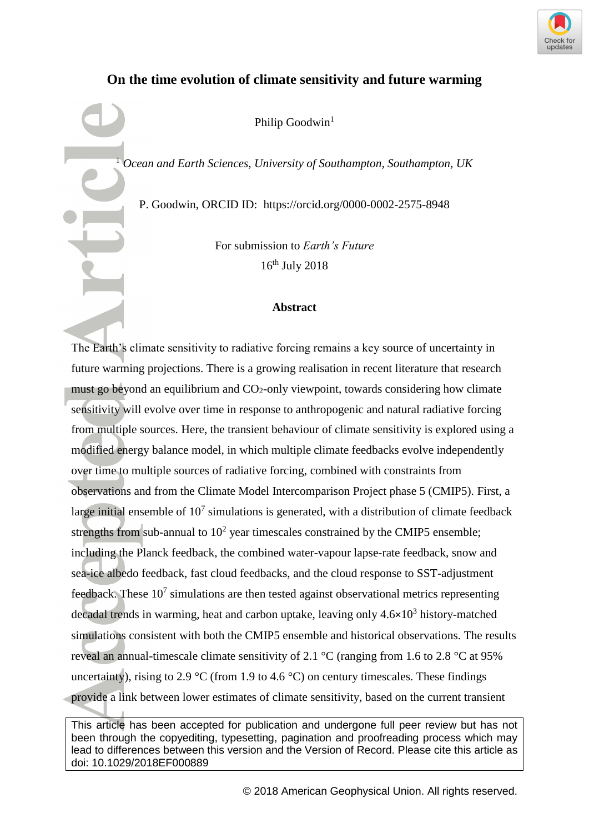

# **On the time evolution of climate sensitivity and future warming**

Philip Goodwin<sup>1</sup>

<sup>1</sup> *Ocean and Earth Sciences, University of Southampton, Southampton, UK*

P. Goodwin, ORCID ID: https://orcid.org/0000-0002-2575-8948

For submission to *Earth's Future* 16th July 2018

# **Abstract**

The Earth's climate sensitivity to radiative forcing remains a key source of uncertainty in future warming projections. There is a growing realisation in recent literature that research must go beyond an equilibrium and  $CO<sub>2</sub>$ -only viewpoint, towards considering how climate sensitivity will evolve over time in response to anthropogenic and natural radiative forcing from multiple sources. Here, the transient behaviour of climate sensitivity is explored using a modified energy balance model, in which multiple climate feedbacks evolve independently over time to multiple sources of radiative forcing, combined with constraints from observations and from the Climate Model Intercomparison Project phase 5 (CMIP5). First, a large initial ensemble of  $10<sup>7</sup>$  simulations is generated, with a distribution of climate feedback strengths from sub-annual to  $10<sup>2</sup>$  year timescales constrained by the CMIP5 ensemble; including the Planck feedback, the combined water-vapour lapse-rate feedback, snow and sea-ice albedo feedback, fast cloud feedbacks, and the cloud response to SST-adjustment feedback. These  $10<sup>7</sup>$  simulations are then tested against observational metrics representing decadal trends in warming, heat and carbon uptake, leaving only 4.6×10<sup>3</sup> history-matched simulations consistent with both the CMIP5 ensemble and historical observations. The results reveal an annual-timescale climate sensitivity of 2.1 °C (ranging from 1.6 to 2.8 °C at 95% uncertainty), rising to 2.9 °C (from 1.9 to 4.6 °C) on century timescales. These findings provide a link between lower estimates of climate sensitivity, based on the current transient

This article has been accepted for publication and undergone full peer review but has not been through the copyediting, typesetting, pagination and proofreading process which may lead to differences between this version and the Version of Record. Please cite this article as doi: 10.1029/2018EF000889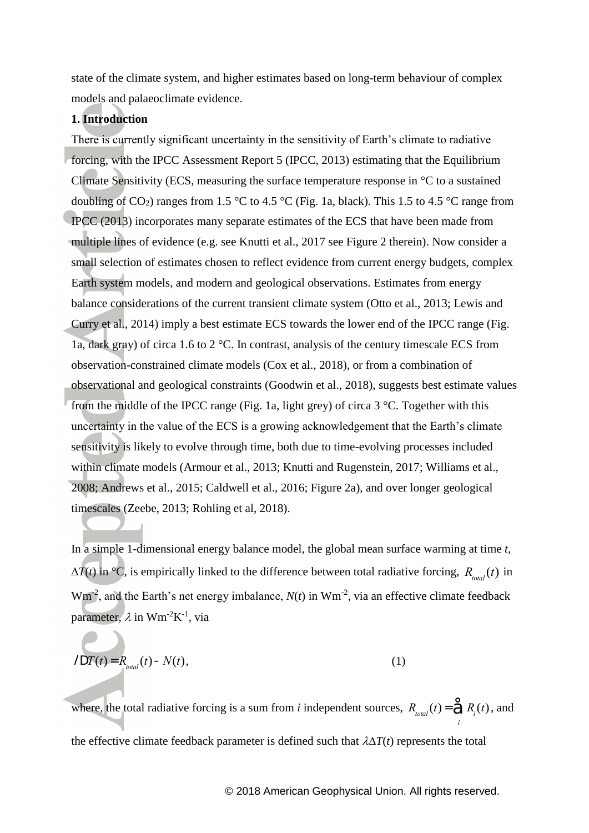state of the climate system, and higher estimates based on long-term behaviour of complex models and palaeoclimate evidence.

# **1. Introduction**

There is currently significant uncertainty in the sensitivity of Earth's climate to radiative forcing, with the IPCC Assessment Report 5 (IPCC, 2013) estimating that the Equilibrium Climate Sensitivity (ECS, measuring the surface temperature response in °C to a sustained doubling of  $CO_2$ ) ranges from 1.5 °C to 4.5 °C (Fig. 1a, black). This 1.5 to 4.5 °C range from IPCC (2013) incorporates many separate estimates of the ECS that have been made from multiple lines of evidence (e.g. see Knutti et al., 2017 see Figure 2 therein). Now consider a small selection of estimates chosen to reflect evidence from current energy budgets, complex Earth system models, and modern and geological observations. Estimates from energy balance considerations of the current transient climate system (Otto et al., 2013; Lewis and Curry et al., 2014) imply a best estimate ECS towards the lower end of the IPCC range (Fig. 1a, dark gray) of circa 1.6 to 2 °C. In contrast, analysis of the century timescale ECS from observation-constrained climate models (Cox et al., 2018), or from a combination of observational and geological constraints (Goodwin et al., 2018), suggests best estimate values from the middle of the IPCC range (Fig. 1a, light grey) of circa 3 °C. Together with this uncertainty in the value of the ECS is a growing acknowledgement that the Earth's climate sensitivity is likely to evolve through time, both due to time-evolving processes included within climate models (Armour et al., 2013; Knutti and Rugenstein, 2017; Williams et al., 2008; Andrews et al., 2015; Caldwell et al., 2016; Figure 2a), and over longer geological timescales (Zeebe, 2013; Rohling et al, 2018).

In a simple 1-dimensional energy balance model, the global mean surface warming at time *t*,  $\Delta T(t)$  in  $\textdegree$ C, is empirically linked to the difference between total radiative forcing,  $R_{total}(t)$  in  $Wm<sup>-2</sup>$ , and the Earth's net energy imbalance,  $N(t)$  in  $Wm<sup>-2</sup>$ , via an effective climate feedback parameter,  $\lambda$  in Wm<sup>-2</sup>K<sup>-1</sup>, via

$$
IDT(t) = R_{total}(t) - N(t),
$$
\n(1)

where, the total radiative forcing is a sum from *i* independent sources,  $R_{total}(t) = \hat{R}_{i}(t)$ , and *i* the effective climate feedback parameter is defined such that  $\lambda \Delta T(t)$  represents the total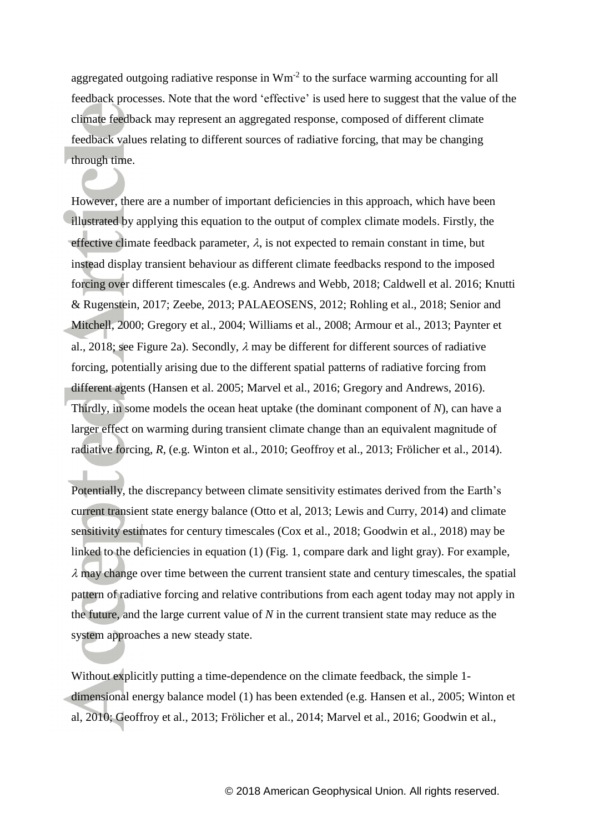aggregated outgoing radiative response in  $Wm<sup>-2</sup>$  to the surface warming accounting for all feedback processes. Note that the word 'effective' is used here to suggest that the value of the climate feedback may represent an aggregated response, composed of different climate feedback values relating to different sources of radiative forcing, that may be changing through time.

However, there are a number of important deficiencies in this approach, which have been illustrated by applying this equation to the output of complex climate models. Firstly, the effective climate feedback parameter,  $\lambda$ , is not expected to remain constant in time, but instead display transient behaviour as different climate feedbacks respond to the imposed forcing over different timescales (e.g. Andrews and Webb, 2018; Caldwell et al. 2016; Knutti & Rugenstein, 2017; Zeebe, 2013; PALAEOSENS, 2012; Rohling et al., 2018; Senior and Mitchell, 2000; Gregory et al., 2004; Williams et al., 2008; Armour et al., 2013; Paynter et al., 2018; see Figure 2a). Secondly,  $\lambda$  may be different for different sources of radiative forcing, potentially arising due to the different spatial patterns of radiative forcing from different agents (Hansen et al. 2005; Marvel et al., 2016; Gregory and Andrews, 2016). Thirdly, in some models the ocean heat uptake (the dominant component of *N*), can have a larger effect on warming during transient climate change than an equivalent magnitude of radiative forcing, *R*, (e.g. Winton et al., 2010; Geoffroy et al., 2013; Frölicher et al., 2014).

Potentially, the discrepancy between climate sensitivity estimates derived from the Earth's current transient state energy balance (Otto et al, 2013; Lewis and Curry, 2014) and climate sensitivity estimates for century timescales (Cox et al., 2018; Goodwin et al., 2018) may be linked to the deficiencies in equation (1) (Fig. 1, compare dark and light gray). For example,  $\lambda$  may change over time between the current transient state and century timescales, the spatial pattern of radiative forcing and relative contributions from each agent today may not apply in the future, and the large current value of *N* in the current transient state may reduce as the system approaches a new steady state.

Without explicitly putting a time-dependence on the climate feedback, the simple 1 dimensional energy balance model (1) has been extended (e.g. Hansen et al., 2005; Winton et al, 2010; Geoffroy et al., 2013; Frölicher et al., 2014; Marvel et al., 2016; Goodwin et al.,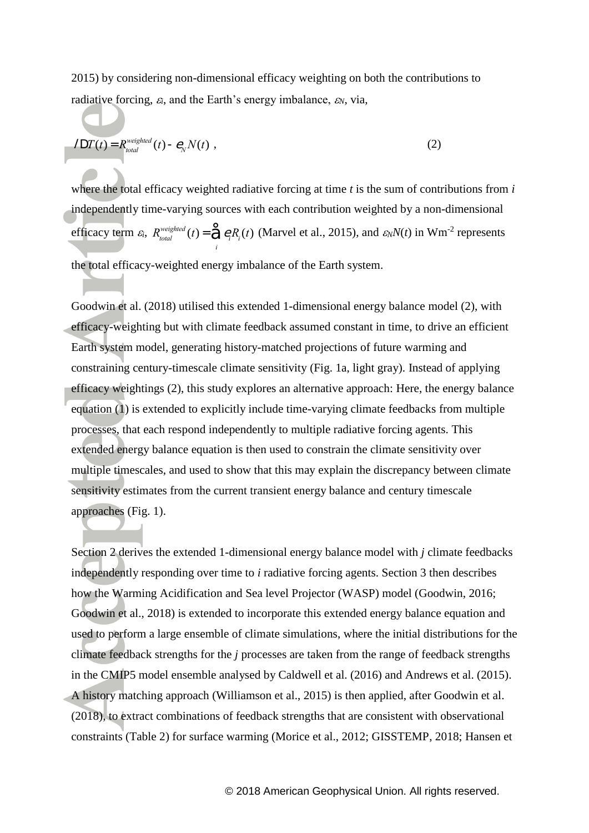2015) by considering non-dimensional efficacy weighting on both the contributions to radiative forcing,  $\varepsilon_i$ , and the Earth's energy imbalance,  $\varepsilon_N$ , via,

$$
IDT(t) = R_{total}^{weighted}(t) - \mathcal{C}_N N(t) , \qquad (2)
$$

I

where the total efficacy weighted radiative forcing at time *t* is the sum of contributions from *i* independently time-varying sources with each contribution weighted by a non-dimensional efficacy term  $\varepsilon_i$ ,  $R_{total}^{weight}$  $\mathcal{E}_{total}^{weighted}(t) = \mathcal{\hat{\Xi}} \, \mathcal{C}_i R_i(t)$ *i*  $\hat{\Theta} e_i R_i(t)$  (Marvel et al., 2015), and  $\varepsilon_N N(t)$  in Wm<sup>-2</sup> represents the total efficacy-weighted energy imbalance of the Earth system.

Goodwin et al. (2018) utilised this extended 1-dimensional energy balance model (2), with efficacy-weighting but with climate feedback assumed constant in time, to drive an efficient Earth system model, generating history-matched projections of future warming and constraining century-timescale climate sensitivity (Fig. 1a, light gray). Instead of applying efficacy weightings (2), this study explores an alternative approach: Here, the energy balance equation (1) is extended to explicitly include time-varying climate feedbacks from multiple processes, that each respond independently to multiple radiative forcing agents. This extended energy balance equation is then used to constrain the climate sensitivity over multiple timescales, and used to show that this may explain the discrepancy between climate sensitivity estimates from the current transient energy balance and century timescale approaches (Fig. 1).

Section 2 derives the extended 1-dimensional energy balance model with *j* climate feedbacks independently responding over time to *i* radiative forcing agents. Section 3 then describes how the Warming Acidification and Sea level Projector (WASP) model (Goodwin, 2016; Goodwin et al., 2018) is extended to incorporate this extended energy balance equation and used to perform a large ensemble of climate simulations, where the initial distributions for the climate feedback strengths for the *j* processes are taken from the range of feedback strengths in the CMIP5 model ensemble analysed by Caldwell et al. (2016) and Andrews et al. (2015). A history matching approach (Williamson et al., 2015) is then applied, after Goodwin et al. (2018), to extract combinations of feedback strengths that are consistent with observational constraints (Table 2) for surface warming (Morice et al., 2012; GISSTEMP, 2018; Hansen et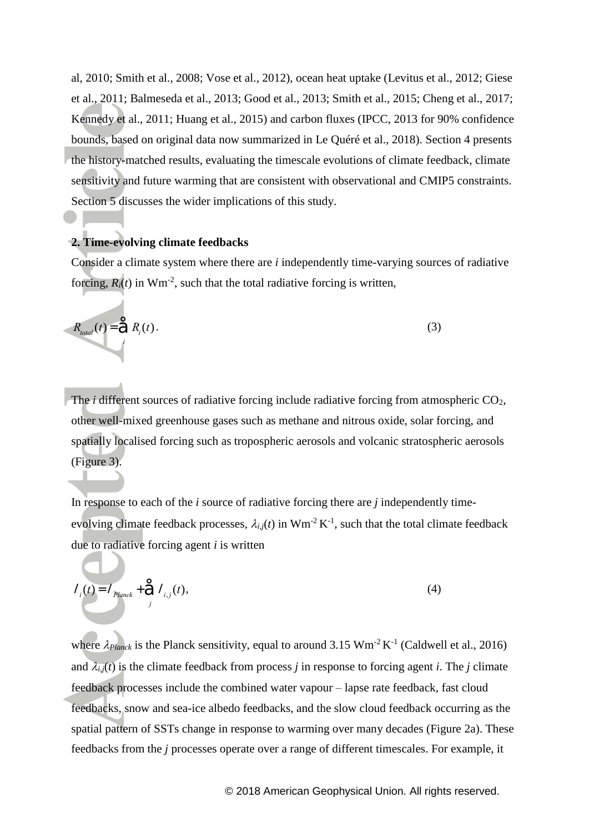al, 2010; Smith et al., 2008; Vose et al., 2012), ocean heat uptake (Levitus et al., 2012; Giese et al., 2011; Balmeseda et al., 2013; Good et al., 2013; Smith et al., 2015; Cheng et al., 2017; Kennedy et al., 2011; Huang et al., 2015) and carbon fluxes (IPCC, 2013 for 90% confidence bounds, based on original data now summarized in Le Quéré et al., 2018). Section 4 presents the history-matched results, evaluating the timescale evolutions of climate feedback, climate sensitivity and future warming that are consistent with observational and CMIP5 constraints. Section 5 discusses the wider implications of this study.

#### **2. Time-evolving climate feedbacks**

Consider a climate system where there are *i* independently time-varying sources of radiative forcing,  $R_i(t)$  in Wm<sup>-2</sup>, such that the total radiative forcing is written,

$$
R_{total}(t) = \sum_{i}^{6} R_i(t).
$$
 (3)

The *i* different sources of radiative forcing include radiative forcing from atmospheric CO<sub>2</sub>, other well-mixed greenhouse gases such as methane and nitrous oxide, solar forcing, and spatially localised forcing such as tropospheric aerosols and volcanic stratospheric aerosols (Figure 3).

In response to each of the *i* source of radiative forcing there are *j* independently timeevolving climate feedback processes,  $\lambda_{i,j}(t)$  in Wm<sup>-2</sup> K<sup>-1</sup>, such that the total climate feedback due to radiative forcing agent *i* is written

$$
I_{i}(t) = I_{Planck} + \sum_{j}^{\infty} I_{i,j}(t),
$$
\n(4)

where  $\lambda_{Planck}$  is the Planck sensitivity, equal to around 3.15 Wm<sup>-2</sup> K<sup>-1</sup> (Caldwell et al., 2016) and  $\lambda_{i,j}(t)$  is the climate feedback from process *j* in response to forcing agent *i*. The *j* climate feedback processes include the combined water vapour – lapse rate feedback, fast cloud feedbacks, snow and sea-ice albedo feedbacks, and the slow cloud feedback occurring as the spatial pattern of SSTs change in response to warming over many decades (Figure 2a). These feedbacks from the *j* processes operate over a range of different timescales. For example, it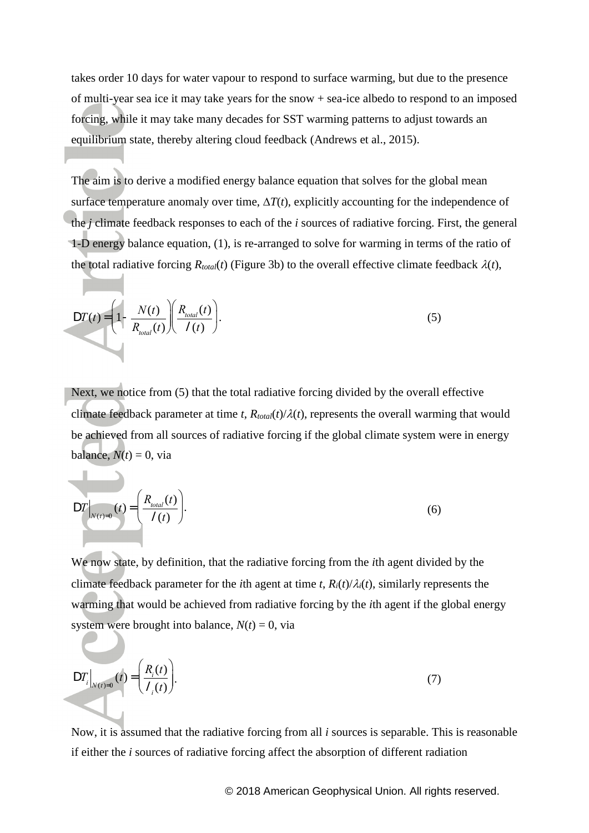takes order 10 days for water vapour to respond to surface warming, but due to the presence of multi-year sea ice it may take years for the snow + sea-ice albedo to respond to an imposed forcing, while it may take many decades for SST warming patterns to adjust towards an equilibrium state, thereby altering cloud feedback (Andrews et al., 2015).

The aim is to derive a modified energy balance equation that solves for the global mean surface temperature anomaly over time,  $\Delta T(t)$ , explicitly accounting for the independence of the *j* climate feedback responses to each of the *i* sources of radiative forcing. First, the general 1-D energy balance equation, (1), is re-arranged to solve for warming in terms of the ratio of the total radiative forcing  $R_{total}(t)$  (Figure 3b) to the overall effective climate feedback  $\lambda(t)$ ,

$$
DT(t) = \left(1 - \frac{N(t)}{R_{total}(t)}\right) \left(\frac{R_{total}(t)}{I(t)}\right). \tag{5}
$$

Next, we notice from (5) that the total radiative forcing divided by the overall effective climate feedback parameter at time *t*,  $R_{total}(t)/\lambda(t)$ , represents the overall warming that would be achieved from all sources of radiative forcing if the global climate system were in energy balance,  $N(t) = 0$ , via

$$
DT\Big|_{N(t)=0}(t) = \left(\frac{R_{total}(t)}{I(t)}\right). \tag{6}
$$

 $\blacksquare$ 

We now state, by definition, that the radiative forcing from the *i*th agent divided by the climate feedback parameter for the *i*th agent at time *t*,  $R_i(t)/\lambda_i(t)$ , similarly represents the warming that would be achieved from radiative forcing by the *i*th agent if the global energy system were brought into balance,  $N(t) = 0$ , via

$$
DT_{i}|_{N(t)=0}(t) = \left(\frac{R_{i}(t)}{I_{i}(t)}\right).
$$
\n(7)

Now, it is assumed that the radiative forcing from all *i* sources is separable. This is reasonable if either the *i* sources of radiative forcing affect the absorption of different radiation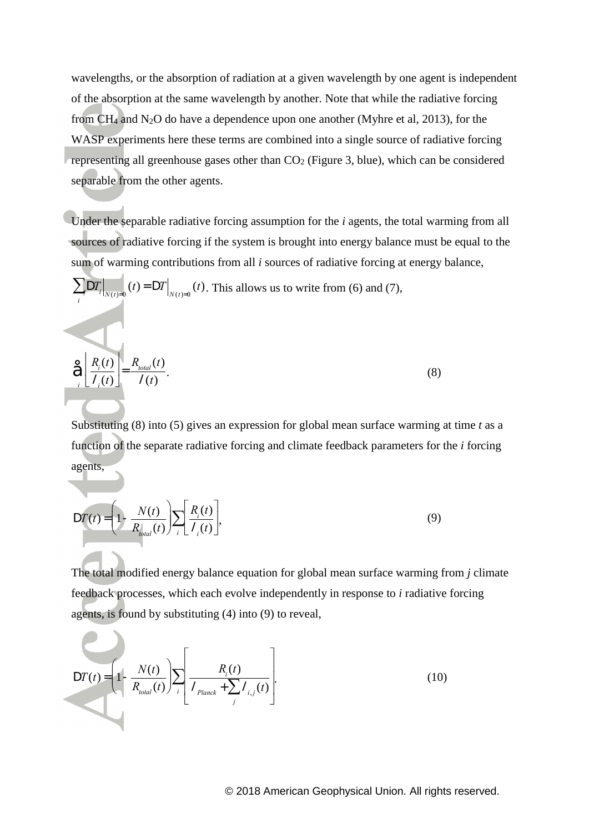wavelengths, or the absorption of radiation at a given wavelength by one agent is independent of the absorption at the same wavelength by another. Note that while the radiative forcing from  $CH_4$  and N<sub>2</sub>O do have a dependence upon one another (Myhre et al, 2013), for the WASP experiments here these terms are combined into a single source of radiative forcing representing all greenhouse gases other than  $CO<sub>2</sub>$  (Figure 3, blue), which can be considered separable from the other agents.

Under the separable radiative forcing assumption for the *i* agents, the total warming from all sources of radiative forcing if the system is brought into energy balance must be equal to the sum of warming contributions from all *i* sources of radiative forcing at energy balance,

$$
\sum_{i} DT_{i|_{N(t)=0}}(t) = DT|_{N(t)=0}(t). \text{ This allows us to write from (6) and (7),}
$$
  

$$
\left(\frac{R_{i}(t)}{I_{i}(t)}\right) = \frac{R_{total}(t)}{I(t)}.
$$
 (8)

Substituting (8) into (5) gives an expression for global mean surface warming at time *t* as a function of the separate radiative forcing and climate feedback parameters for the *i* forcing agents,

$$
DT(t) = \left(1 - \frac{N(t)}{R_{total}(t)}\right) \sum_{i} \left[\frac{R_i(t)}{I_i(t)}\right],
$$
\n(9)

The total modified energy balance equation for global mean surface warming from *j* climate feedback processes, which each evolve independently in response to *i* radiative forcing agents, is found by substituting (4) into (9) to reveal,

$$
DT(t) = \left(1 - \frac{N(t)}{R_{total}(t)}\right) \sum_{i} \left[ \frac{R_i(t)}{I_{Planck} + \sum_{j} I_{i,j}(t)} \right].
$$
 (10)

 $\sim$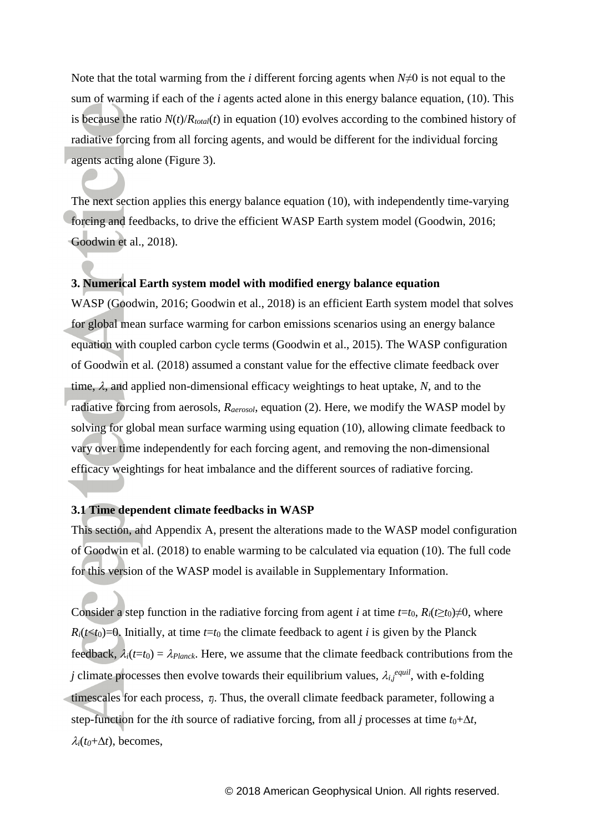Note that the total warming from the *i* different forcing agents when *N*≠0 is not equal to the sum of warming if each of the *i* agents acted alone in this energy balance equation, (10). This is because the ratio  $N(t)/R_{total}(t)$  in equation (10) evolves according to the combined history of radiative forcing from all forcing agents, and would be different for the individual forcing agents acting alone (Figure 3).

The next section applies this energy balance equation (10), with independently time-varying forcing and feedbacks, to drive the efficient WASP Earth system model (Goodwin, 2016; Goodwin et al., 2018).

# **3. Numerical Earth system model with modified energy balance equation**

WASP (Goodwin, 2016; Goodwin et al., 2018) is an efficient Earth system model that solves for global mean surface warming for carbon emissions scenarios using an energy balance equation with coupled carbon cycle terms (Goodwin et al., 2015). The WASP configuration of Goodwin et al*.* (2018) assumed a constant value for the effective climate feedback over time,  $\lambda$ , and applied non-dimensional efficacy weightings to heat uptake,  $N$ , and to the radiative forcing from aerosols, *Raerosol*, equation (2). Here, we modify the WASP model by solving for global mean surface warming using equation (10), allowing climate feedback to vary over time independently for each forcing agent, and removing the non-dimensional efficacy weightings for heat imbalance and the different sources of radiative forcing.

### **3.1 Time dependent climate feedbacks in WASP**

This section, and Appendix A, present the alterations made to the WASP model configuration of Goodwin et al. (2018) to enable warming to be calculated via equation (10). The full code for this version of the WASP model is available in Supplementary Information.

Consider a step function in the radiative forcing from agent *i* at time  $t=t_0$ ,  $R_i(t\geq t_0)\neq 0$ , where  $R_i(t \leq t_0) = 0$ . Initially, at time  $t = t_0$  the climate feedback to agent *i* is given by the Planck feedback,  $\lambda_i(t=t_0) = \lambda_{Planck}$ . Here, we assume that the climate feedback contributions from the *j* climate processes then evolve towards their equilibrium values,  $\lambda_{i,j}$ <sup>equil</sup>, with e-folding timescales for each process,  $\tau_i$ . Thus, the overall climate feedback parameter, following a step-function for the *i*th source of radiative forcing, from all *j* processes at time  $t_0 + \Delta t$ ,  $\lambda_i(t_0+\Delta t)$ , becomes,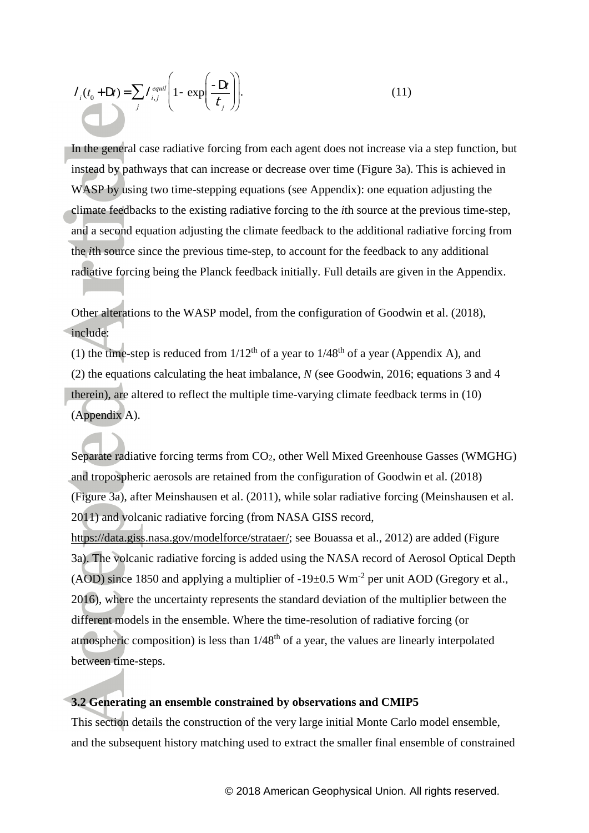$$
I_i(t_0 + \mathbf{D}t) = \sum_j I_{i,j}^{equil} \left( 1 - \exp\left(\frac{-\mathbf{D}t}{t_j}\right) \right).
$$
 (11)

In the general case radiative forcing from each agent does not increase via a step function, but instead by pathways that can increase or decrease over time (Figure 3a). This is achieved in WASP by using two time-stepping equations (see Appendix): one equation adjusting the climate feedbacks to the existing radiative forcing to the *i*th source at the previous time-step, and a second equation adjusting the climate feedback to the additional radiative forcing from the *i*th source since the previous time-step, to account for the feedback to any additional radiative forcing being the Planck feedback initially. Full details are given in the Appendix.

Other alterations to the WASP model, from the configuration of Goodwin et al. (2018), include:

(1) the time-step is reduced from  $1/12^{th}$  of a year to  $1/48^{th}$  of a year (Appendix A), and (2) the equations calculating the heat imbalance, *N* (see Goodwin, 2016; equations 3 and 4 therein), are altered to reflect the multiple time-varying climate feedback terms in (10) (Appendix A).

( $I_0$ ,  $U_0$ ,  $D(3) = \sum_{i} \binom{D(3)}{2} \left(1 - \exp\left(\frac{2\pi i}{f_i}\right)\right)$ ) (11)<br>
(a) the general case radiative forcing from each agent does not increase via a step function,<br>
magneto by pathways that can increase or decrease over t Separate radiative forcing terms from  $CO<sub>2</sub>$ , other Well Mixed Greenhouse Gasses (WMGHG) and tropospheric aerosols are retained from the configuration of Goodwin et al. (2018) (Figure 3a), after Meinshausen et al. (2011), while solar radiative forcing (Meinshausen et al. 2011) and volcanic radiative forcing (from NASA GISS record, [https://data.giss.nasa.gov/modelforce/strataer/;](https://data.giss.nasa.gov/modelforce/strataer/) see Bouassa et al., 2012) are added (Figure 3a). The volcanic radiative forcing is added using the NASA record of Aerosol Optical Depth (AOD) since 1850 and applying a multiplier of -19 $\pm$ 0.5 Wm<sup>-2</sup> per unit AOD (Gregory et al., 2016), where the uncertainty represents the standard deviation of the multiplier between the different models in the ensemble. Where the time-resolution of radiative forcing (or atmospheric composition) is less than  $1/48<sup>th</sup>$  of a year, the values are linearly interpolated between time-steps.

#### **3.2 Generating an ensemble constrained by observations and CMIP5**

This section details the construction of the very large initial Monte Carlo model ensemble, and the subsequent history matching used to extract the smaller final ensemble of constrained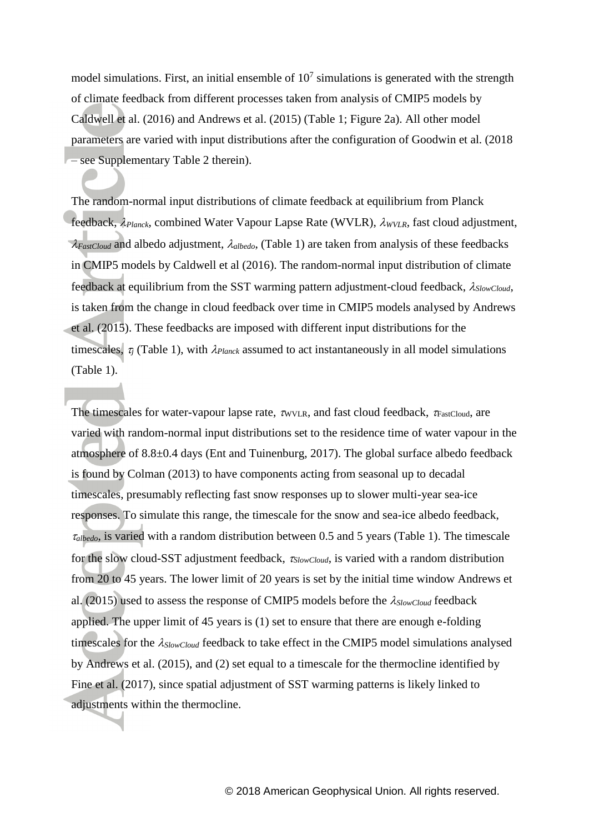model simulations. First, an initial ensemble of  $10<sup>7</sup>$  simulations is generated with the strength of climate feedback from different processes taken from analysis of CMIP5 models by Caldwell et al. (2016) and Andrews et al. (2015) (Table 1; Figure 2a). All other model parameters are varied with input distributions after the configuration of Goodwin et al. (2018 – see Supplementary Table 2 therein).

The random-normal input distributions of climate feedback at equilibrium from Planck feedback,  $\lambda_{Planck}$ , combined Water Vapour Lapse Rate (WVLR),  $\lambda_{WVLR}$ , fast cloud adjustment,  $\lambda_{FastCloud}$  and albedo adjustment,  $\lambda_{albedo}$ , (Table 1) are taken from analysis of these feedbacks in CMIP5 models by Caldwell et al (2016). The random-normal input distribution of climate feedback at equilibrium from the SST warming pattern adjustment-cloud feedback, *SlowCloud*, is taken from the change in cloud feedback over time in CMIP5 models analysed by Andrews et al. (2015). These feedbacks are imposed with different input distributions for the timescales,  $\tau_i$  (Table 1), with  $\lambda_{Planck}$  assumed to act instantaneously in all model simulations (Table 1).

The timescales for water-vapour lapse rate,  $\tau_{\text{WVLR}}$ , and fast cloud feedback,  $\tau_{\text{FastCloud}}$ , are varied with random-normal input distributions set to the residence time of water vapour in the atmosphere of 8.8±0.4 days (Ent and Tuinenburg, 2017). The global surface albedo feedback is found by Colman (2013) to have components acting from seasonal up to decadal timescales, presumably reflecting fast snow responses up to slower multi-year sea-ice responses. To simulate this range, the timescale for the snow and sea-ice albedo feedback, *albedo*, is varied with a random distribution between 0.5 and 5 years (Table 1). The timescale for the slow cloud-SST adjustment feedback, *SlowCloud*, is varied with a random distribution from 20 to 45 years. The lower limit of 20 years is set by the initial time window Andrews et al. (2015) used to assess the response of CMIP5 models before the *SlowCloud* feedback applied. The upper limit of 45 years is (1) set to ensure that there are enough e-folding timescales for the *SlowCloud* feedback to take effect in the CMIP5 model simulations analysed by Andrews et al. (2015), and (2) set equal to a timescale for the thermocline identified by Fine et al. (2017), since spatial adjustment of SST warming patterns is likely linked to adjustments within the thermocline.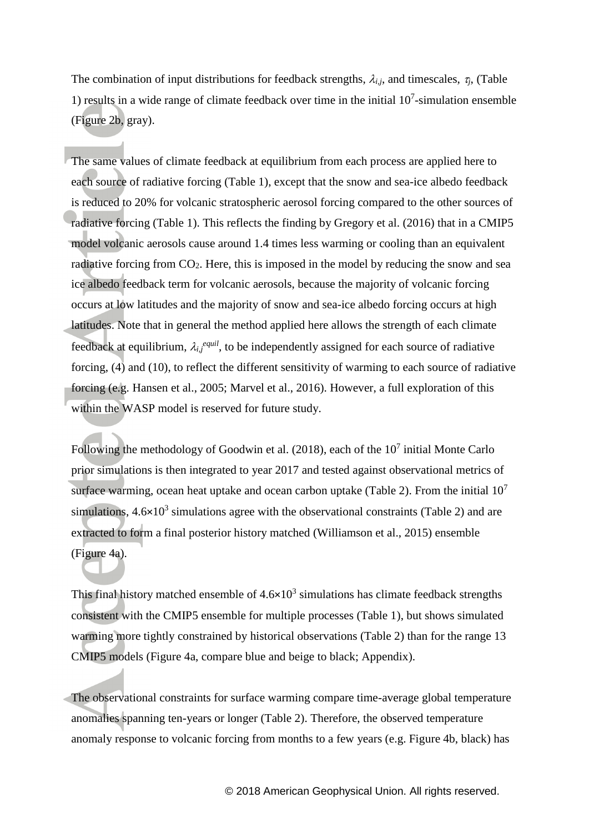The combination of input distributions for feedback strengths,  $\lambda_{i,j}$ , and timescales,  $\tau_j$ , (Table 1) results in a wide range of climate feedback over time in the initial  $10<sup>7</sup>$ -simulation ensemble (Figure 2b, gray).

The same values of climate feedback at equilibrium from each process are applied here to each source of radiative forcing (Table 1), except that the snow and sea-ice albedo feedback is reduced to 20% for volcanic stratospheric aerosol forcing compared to the other sources of radiative forcing (Table 1). This reflects the finding by Gregory et al. (2016) that in a CMIP5 model volcanic aerosols cause around 1.4 times less warming or cooling than an equivalent radiative forcing from  $CO<sub>2</sub>$ . Here, this is imposed in the model by reducing the snow and sea ice albedo feedback term for volcanic aerosols, because the majority of volcanic forcing occurs at low latitudes and the majority of snow and sea-ice albedo forcing occurs at high latitudes. Note that in general the method applied here allows the strength of each climate feedback at equilibrium,  $\lambda_{i,j}$ <sup>equil</sup>, to be independently assigned for each source of radiative forcing, (4) and (10), to reflect the different sensitivity of warming to each source of radiative forcing (e.g. Hansen et al., 2005; Marvel et al., 2016). However, a full exploration of this within the WASP model is reserved for future study.

Following the methodology of Goodwin et al.  $(2018)$ , each of the  $10<sup>7</sup>$  initial Monte Carlo prior simulations is then integrated to year 2017 and tested against observational metrics of surface warming, ocean heat uptake and ocean carbon uptake (Table 2). From the initial  $10<sup>7</sup>$ simulations,  $4.6 \times 10^3$  simulations agree with the observational constraints (Table 2) and are extracted to form a final posterior history matched (Williamson et al., 2015) ensemble (Figure 4a).

This final history matched ensemble of  $4.6 \times 10^3$  simulations has climate feedback strengths consistent with the CMIP5 ensemble for multiple processes (Table 1), but shows simulated warming more tightly constrained by historical observations (Table 2) than for the range 13 CMIP5 models (Figure 4a, compare blue and beige to black; Appendix).

The observational constraints for surface warming compare time-average global temperature anomalies spanning ten-years or longer (Table 2). Therefore, the observed temperature anomaly response to volcanic forcing from months to a few years (e.g. Figure 4b, black) has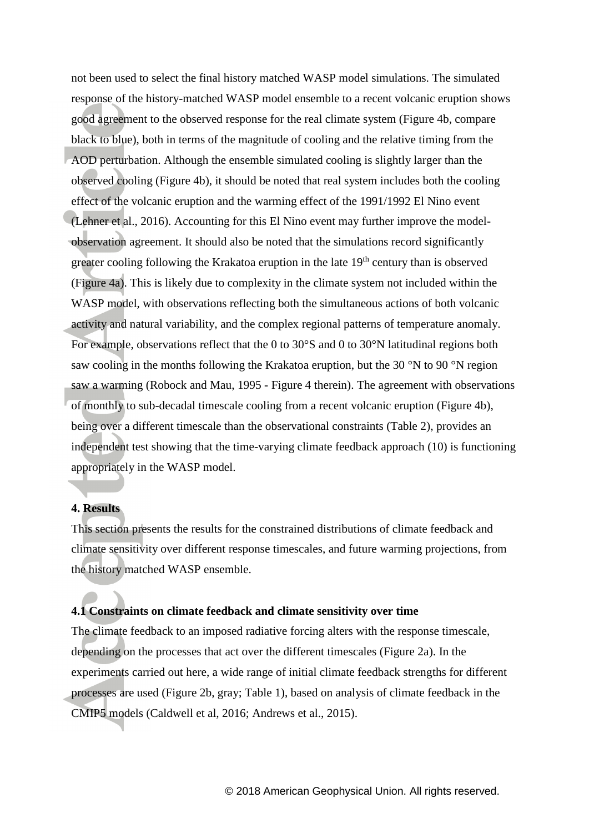not been used to select the final history matched WASP model simulations. The simulated response of the history-matched WASP model ensemble to a recent volcanic eruption shows good agreement to the observed response for the real climate system (Figure 4b, compare black to blue), both in terms of the magnitude of cooling and the relative timing from the AOD perturbation. Although the ensemble simulated cooling is slightly larger than the observed cooling (Figure 4b), it should be noted that real system includes both the cooling effect of the volcanic eruption and the warming effect of the 1991/1992 El Nino event (Lehner et al., 2016). Accounting for this El Nino event may further improve the modelobservation agreement. It should also be noted that the simulations record significantly greater cooling following the Krakatoa eruption in the late 19<sup>th</sup> century than is observed (Figure 4a). This is likely due to complexity in the climate system not included within the WASP model, with observations reflecting both the simultaneous actions of both volcanic activity and natural variability, and the complex regional patterns of temperature anomaly. For example, observations reflect that the 0 to 30°S and 0 to 30°N latitudinal regions both saw cooling in the months following the Krakatoa eruption, but the 30 °N to 90 °N region saw a warming (Robock and Mau, 1995 - Figure 4 therein). The agreement with observations of monthly to sub-decadal timescale cooling from a recent volcanic eruption (Figure 4b), being over a different timescale than the observational constraints (Table 2), provides an independent test showing that the time-varying climate feedback approach (10) is functioning appropriately in the WASP model.

### **4. Results**

This section presents the results for the constrained distributions of climate feedback and climate sensitivity over different response timescales, and future warming projections, from the history matched WASP ensemble.

# **4.1 Constraints on climate feedback and climate sensitivity over time**

The climate feedback to an imposed radiative forcing alters with the response timescale, depending on the processes that act over the different timescales (Figure 2a). In the experiments carried out here, a wide range of initial climate feedback strengths for different processes are used (Figure 2b, gray; Table 1), based on analysis of climate feedback in the CMIP5 models (Caldwell et al, 2016; Andrews et al., 2015).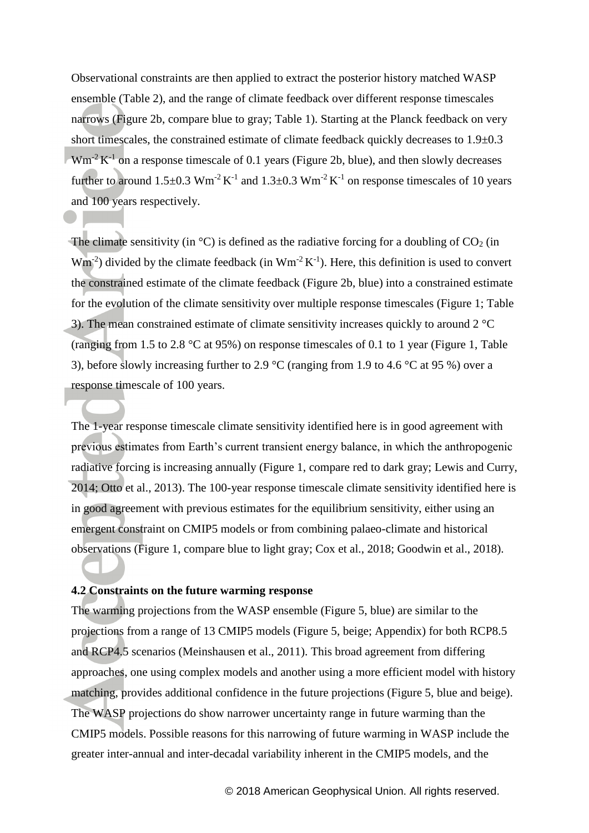Observational constraints are then applied to extract the posterior history matched WASP ensemble (Table 2), and the range of climate feedback over different response timescales narrows (Figure 2b, compare blue to gray; Table 1). Starting at the Planck feedback on very short timescales, the constrained estimate of climate feedback quickly decreases to 1.9±0.3  $Wm<sup>-2</sup>K<sup>-1</sup>$  on a response timescale of 0.1 years (Figure 2b, blue), and then slowly decreases further to around  $1.5\pm0.3$  Wm<sup>-2</sup> K<sup>-1</sup> and  $1.3\pm0.3$  Wm<sup>-2</sup> K<sup>-1</sup> on response timescales of 10 years and 100 years respectively.

The climate sensitivity (in  $\degree$ C) is defined as the radiative forcing for a doubling of CO<sub>2</sub> (in  $Wm^{-2}$ ) divided by the climate feedback (in  $Wm^{-2} K^{-1}$ ). Here, this definition is used to convert the constrained estimate of the climate feedback (Figure 2b, blue) into a constrained estimate for the evolution of the climate sensitivity over multiple response timescales (Figure 1; Table 3). The mean constrained estimate of climate sensitivity increases quickly to around 2 °C (ranging from 1.5 to 2.8 °C at 95%) on response timescales of 0.1 to 1 year (Figure 1, Table 3), before slowly increasing further to 2.9 °C (ranging from 1.9 to 4.6 °C at 95 %) over a response timescale of 100 years.

The 1-year response timescale climate sensitivity identified here is in good agreement with previous estimates from Earth's current transient energy balance, in which the anthropogenic radiative forcing is increasing annually (Figure 1, compare red to dark gray; Lewis and Curry, 2014; Otto et al., 2013). The 100-year response timescale climate sensitivity identified here is in good agreement with previous estimates for the equilibrium sensitivity, either using an emergent constraint on CMIP5 models or from combining palaeo-climate and historical observations (Figure 1, compare blue to light gray; Cox et al., 2018; Goodwin et al., 2018).

#### **4.2 Constraints on the future warming response**

The warming projections from the WASP ensemble (Figure 5, blue) are similar to the projections from a range of 13 CMIP5 models (Figure 5, beige; Appendix) for both RCP8.5 and RCP4.5 scenarios (Meinshausen et al., 2011). This broad agreement from differing approaches, one using complex models and another using a more efficient model with history matching, provides additional confidence in the future projections (Figure 5, blue and beige). The WASP projections do show narrower uncertainty range in future warming than the CMIP5 models. Possible reasons for this narrowing of future warming in WASP include the greater inter-annual and inter-decadal variability inherent in the CMIP5 models, and the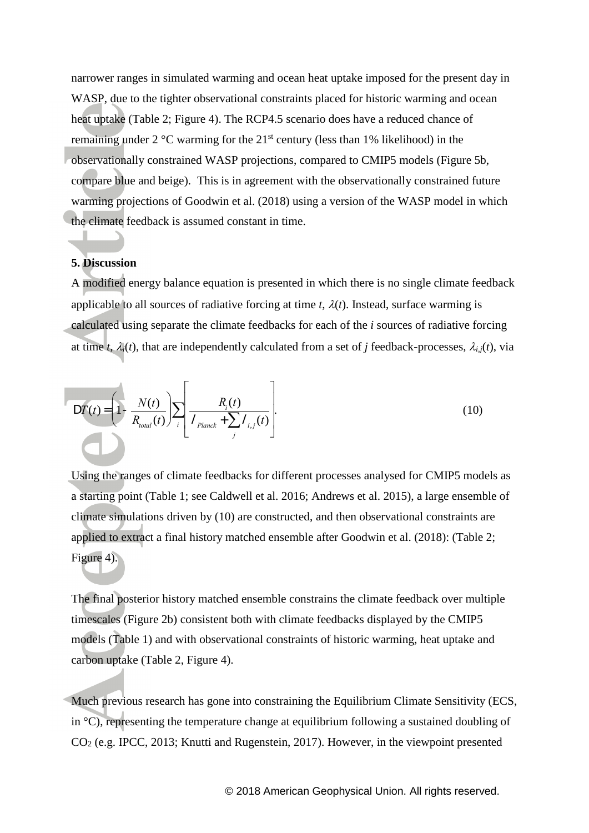narrower ranges in simulated warming and ocean heat uptake imposed for the present day in WASP, due to the tighter observational constraints placed for historic warming and ocean heat uptake (Table 2; Figure 4). The RCP4.5 scenario does have a reduced chance of remaining under  $2^{\circ}$ C warming for the  $21^{st}$  century (less than 1% likelihood) in the observationally constrained WASP projections, compared to CMIP5 models (Figure 5b, compare blue and beige). This is in agreement with the observationally constrained future warming projections of Goodwin et al. (2018) using a version of the WASP model in which the climate feedback is assumed constant in time.

### **5. Discussion**

A modified energy balance equation is presented in which there is no single climate feedback applicable to all sources of radiative forcing at time  $t$ ,  $\lambda(t)$ . Instead, surface warming is calculated using separate the climate feedbacks for each of the *i* sources of radiative forcing at time *t*,  $\lambda_i(t)$ , that are independently calculated from a set of *j* feedback-processes,  $\lambda_{i,j}(t)$ , via

$$
DT(t) = \left(1 - \frac{N(t)}{R_{total}(t)}\right) \sum_{i} \left[\frac{R_i(t)}{I_{Planck} + \sum_{j} I_{i,j}(t)}\right].
$$
\n(10)

Using the ranges of climate feedbacks for different processes analysed for CMIP5 models as a starting point (Table 1; see Caldwell et al. 2016; Andrews et al. 2015), a large ensemble of climate simulations driven by (10) are constructed, and then observational constraints are applied to extract a final history matched ensemble after Goodwin et al. (2018): (Table 2; Figure 4).

The final posterior history matched ensemble constrains the climate feedback over multiple timescales (Figure 2b) consistent both with climate feedbacks displayed by the CMIP5 models (Table 1) and with observational constraints of historic warming, heat uptake and carbon uptake (Table 2, Figure 4).

Much previous research has gone into constraining the Equilibrium Climate Sensitivity (ECS, in  $\degree$ C), representing the temperature change at equilibrium following a sustained doubling of CO<sup>2</sup> (e.g. IPCC, 2013; Knutti and Rugenstein, 2017). However, in the viewpoint presented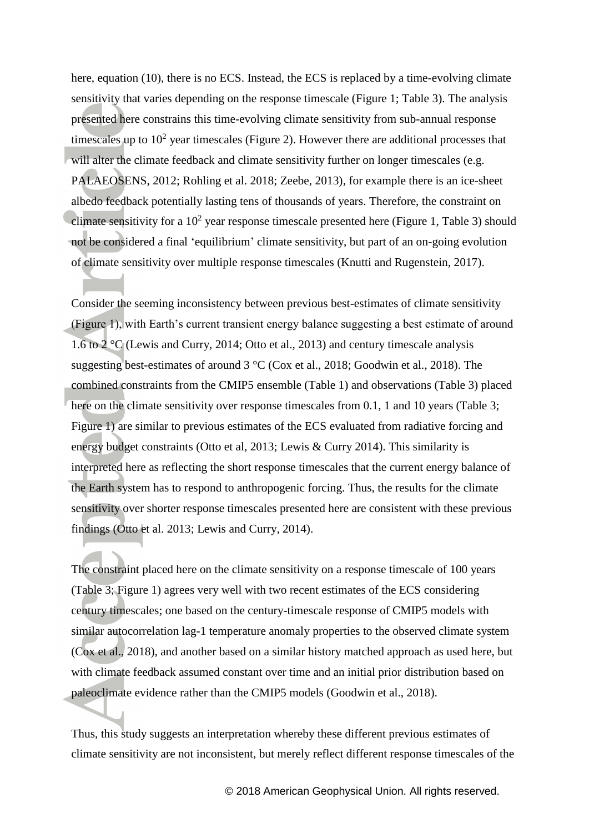here, equation (10), there is no ECS. Instead, the ECS is replaced by a time-evolving climate sensitivity that varies depending on the response timescale (Figure 1; Table 3). The analysis presented here constrains this time-evolving climate sensitivity from sub-annual response timescales up to  $10<sup>2</sup>$  year timescales (Figure 2). However there are additional processes that will alter the climate feedback and climate sensitivity further on longer timescales (e.g. PALAEOSENS, 2012; Rohling et al. 2018; Zeebe, 2013), for example there is an ice-sheet albedo feedback potentially lasting tens of thousands of years. Therefore, the constraint on climate sensitivity for a  $10<sup>2</sup>$  year response timescale presented here (Figure 1, Table 3) should not be considered a final 'equilibrium' climate sensitivity, but part of an on-going evolution of climate sensitivity over multiple response timescales (Knutti and Rugenstein, 2017).

Consider the seeming inconsistency between previous best-estimates of climate sensitivity (Figure 1), with Earth's current transient energy balance suggesting a best estimate of around 1.6 to 2 °C (Lewis and Curry, 2014; Otto et al., 2013) and century timescale analysis suggesting best-estimates of around 3 °C (Cox et al., 2018; Goodwin et al., 2018). The combined constraints from the CMIP5 ensemble (Table 1) and observations (Table 3) placed here on the climate sensitivity over response timescales from 0.1, 1 and 10 years (Table 3; Figure 1) are similar to previous estimates of the ECS evaluated from radiative forcing and energy budget constraints (Otto et al, 2013; Lewis & Curry 2014). This similarity is interpreted here as reflecting the short response timescales that the current energy balance of the Earth system has to respond to anthropogenic forcing. Thus, the results for the climate sensitivity over shorter response timescales presented here are consistent with these previous findings (Otto et al. 2013; Lewis and Curry, 2014).

The constraint placed here on the climate sensitivity on a response timescale of 100 years (Table 3; Figure 1) agrees very well with two recent estimates of the ECS considering century timescales; one based on the century-timescale response of CMIP5 models with similar autocorrelation lag-1 temperature anomaly properties to the observed climate system (Cox et al., 2018), and another based on a similar history matched approach as used here, but with climate feedback assumed constant over time and an initial prior distribution based on paleoclimate evidence rather than the CMIP5 models (Goodwin et al., 2018).

Thus, this study suggests an interpretation whereby these different previous estimates of climate sensitivity are not inconsistent, but merely reflect different response timescales of the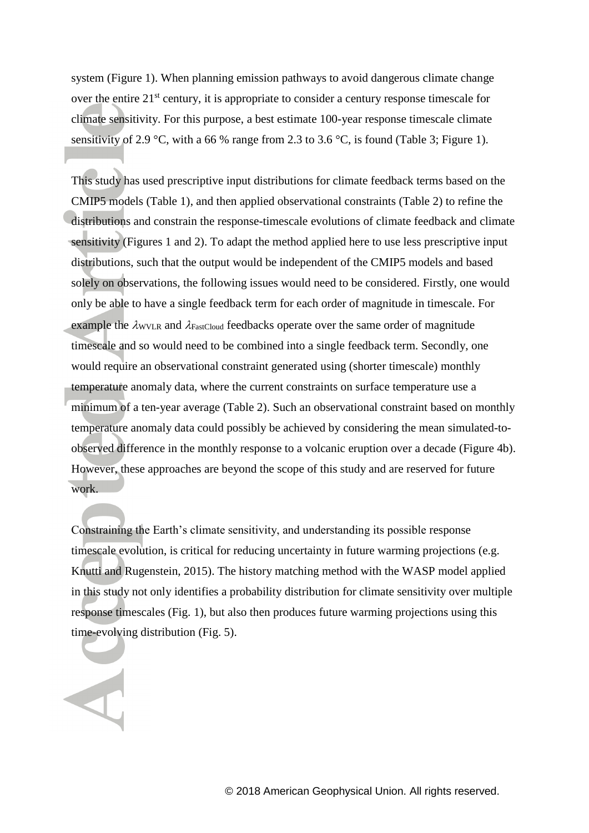system (Figure 1). When planning emission pathways to avoid dangerous climate change over the entire 21<sup>st</sup> century, it is appropriate to consider a century response timescale for climate sensitivity. For this purpose, a best estimate 100-year response timescale climate sensitivity of 2.9 °C, with a 66 % range from 2.3 to 3.6 °C, is found (Table 3; Figure 1).

This study has used prescriptive input distributions for climate feedback terms based on the CMIP5 models (Table 1), and then applied observational constraints (Table 2) to refine the distributions and constrain the response-timescale evolutions of climate feedback and climate sensitivity (Figures 1 and 2). To adapt the method applied here to use less prescriptive input distributions, such that the output would be independent of the CMIP5 models and based solely on observations, the following issues would need to be considered. Firstly, one would only be able to have a single feedback term for each order of magnitude in timescale. For example the  $\lambda_{\text{WVLR}}$  and  $\lambda_{\text{FastCloud}}$  feedbacks operate over the same order of magnitude timescale and so would need to be combined into a single feedback term. Secondly, one would require an observational constraint generated using (shorter timescale) monthly temperature anomaly data, where the current constraints on surface temperature use a minimum of a ten-year average (Table 2). Such an observational constraint based on monthly temperature anomaly data could possibly be achieved by considering the mean simulated-toobserved difference in the monthly response to a volcanic eruption over a decade (Figure 4b). However, these approaches are beyond the scope of this study and are reserved for future work.

Constraining the Earth's climate sensitivity, and understanding its possible response timescale evolution, is critical for reducing uncertainty in future warming projections (e.g. Knutti and Rugenstein, 2015). The history matching method with the WASP model applied in this study not only identifies a probability distribution for climate sensitivity over multiple response timescales (Fig. 1), but also then produces future warming projections using this time-evolving distribution (Fig. 5).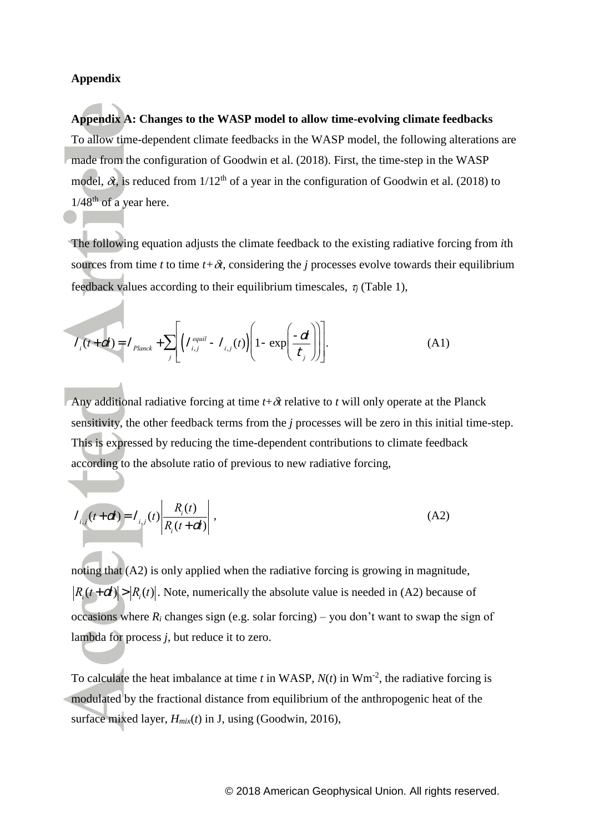### **Appendix**

**Appendix A: Changes to the WASP model to allow time-evolving climate feedbacks** To allow time-dependent climate feedbacks in the WASP model, the following alterations are made from the configuration of Goodwin et al. (2018). First, the time-step in the WASP model,  $\delta t$ , is reduced from  $1/12^{th}$  of a year in the configuration of Goodwin et al. (2018) to  $1/48$ <sup>th</sup> of a year here.

The following equation adjusts the climate feedback to the existing radiative forcing from *i*th sources from time *t* to time  $t+\delta t$ , considering the *j* processes evolve towards their equilibrium feedback values according to their equilibrium timescales,  $\tau_i$  (Table 1),

$$
I_i(t+dt) = I_{Planck} + \sum_j \left[ I_{i,j}^{equil} - I_{i,j}(t) \right] \left[ 1 - \exp\left( \frac{-dt}{t_j} \right) \right].
$$
 (A1)

Any additional radiative forcing at time  $t + \delta t$  relative to *t* will only operate at the Planck sensitivity, the other feedback terms from the *j* processes will be zero in this initial time-step. This is expressed by reducing the time-dependent contributions to climate feedback according to the absolute ratio of previous to new radiative forcing,

$$
I_{i,j}(t+dt) = I_{i,j}(t) \left| \frac{R_i(t)}{R_i(t+dt)} \right|,
$$
 (A2)

noting that (A2) is only applied when the radiative forcing is growing in magnitude,  $R_i(t + dt) > |R_i(t)|$ . Note, numerically the absolute value is needed in (A2) because of occasions where  $R_i$  changes sign (e.g. solar forcing) – you don't want to swap the sign of lambda for process *j*, but reduce it to zero.

To calculate the heat imbalance at time  $t$  in WASP,  $N(t)$  in Wm<sup>-2</sup>, the radiative forcing is modulated by the fractional distance from equilibrium of the anthropogenic heat of the surface mixed layer, *Hmix*(*t*) in J, using (Goodwin, 2016),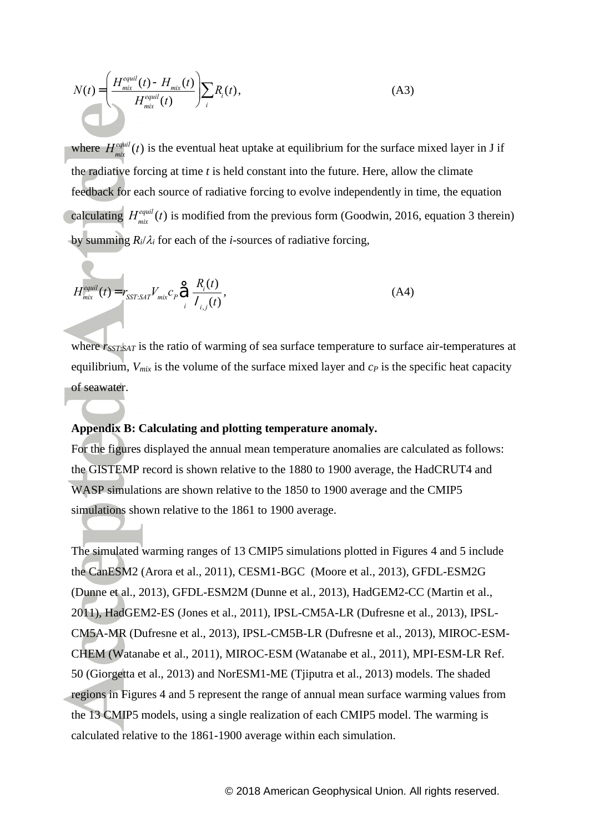$$
N(t) = \left(\frac{H_{mix}^{equil}(t) - H_{mix}(t)}{H_{mix}^{equil}(t)}\right) \sum_{i} R_i(t),
$$
\n(A3)

where *H mix*  $e^{equil}_{\text{min}}(t)$  is the eventual heat uptake at equilibrium for the surface mixed layer in J if the radiative forcing at time *t* is held constant into the future. Here, allow the climate feedback for each source of radiative forcing to evolve independently in time, the equation calculating *H mix*  $e^{equil}_{\text{min}}(t)$  is modified from the previous form (Goodwin, 2016, equation 3 therein) by summing  $R_i/\lambda_i$  for each of the *i*-sources of radiative forcing,

$$
H_{mix}^{equil}(t) = r_{SST:SAT} V_{mix} c_p \hat{\Theta} \frac{R_i(t)}{I_{i,j}(t)},
$$
\n(A4)

where  $r_{SST,SAT}$  is the ratio of warming of sea surface temperature to surface air-temperatures at equilibrium, *Vmix* is the volume of the surface mixed layer and *c<sup>P</sup>* is the specific heat capacity of seawater.

# **Appendix B: Calculating and plotting temperature anomaly.**

For the figures displayed the annual mean temperature anomalies are calculated as follows: the GISTEMP record is shown relative to the 1880 to 1900 average, the HadCRUT4 and WASP simulations are shown relative to the 1850 to 1900 average and the CMIP5 simulations shown relative to the 1861 to 1900 average.

 $N(t) = \frac{W_{\text{max}}(t)}{H_{\text{max}}^{(10)}}$  (*i*) is the vertual heat uptake at equilibrium for the surface mixed layer in J<br>
where  $H_{\text{max}}^{(10)}(t)$  is the vertual heat uptake at equilibrium for the surface mixed layer in J<br>
bergsl The simulated warming ranges of 13 CMIP5 simulations plotted in Figures 4 and 5 include the CanESM2 (Arora et al., 2011), CESM1-BGC (Moore et al., 2013), GFDL-ESM2G (Dunne et al., 2013), GFDL-ESM2M (Dunne et al., 2013), HadGEM2-CC (Martin et al., 2011), HadGEM2-ES (Jones et al., 2011), IPSL-CM5A-LR (Dufresne et al., 2013), IPSL-CM5A-MR (Dufresne et al., 2013), IPSL-CM5B-LR (Dufresne et al., 2013), MIROC-ESM-CHEM (Watanabe et al., 2011), MIROC-ESM (Watanabe et al., 2011), MPI-ESM-LR Ref. 50 (Giorgetta et al., 2013) and NorESM1-ME (Tjiputra et al., 2013) models. The shaded regions in Figures 4 and 5 represent the range of annual mean surface warming values from the 13 CMIP5 models, using a single realization of each CMIP5 model. The warming is calculated relative to the 1861-1900 average within each simulation.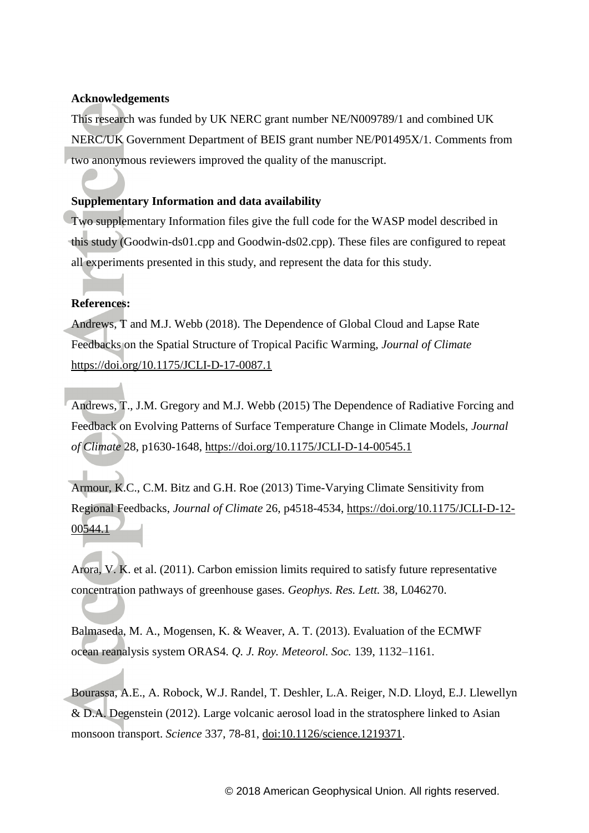# **Acknowledgements**

This research was funded by UK NERC grant number NE/N009789/1 and combined UK NERC/UK Government Department of BEIS grant number NE/P01495X/1. Comments from two anonymous reviewers improved the quality of the manuscript.

# **Supplementary Information and data availability**

Two supplementary Information files give the full code for the WASP model described in this study (Goodwin-ds01.cpp and Goodwin-ds02.cpp). These files are configured to repeat all experiments presented in this study, and represent the data for this study.

### **References:**

Andrews, T and M.J. Webb (2018). The Dependence of Global Cloud and Lapse Rate Feedbacks on the Spatial Structure of Tropical Pacific Warming, *Journal of Climate* <https://doi.org/10.1175/JCLI-D-17-0087.1>

Andrews, T., J.M. Gregory and M.J. Webb (2015) The Dependence of Radiative Forcing and Feedback on Evolving Patterns of Surface Temperature Change in Climate Models, *Journal of Climate* 28, p1630-1648,<https://doi.org/10.1175/JCLI-D-14-00545.1>

Armour, K.C., C.M. Bitz and G.H. Roe (2013) Time-Varying Climate Sensitivity from Regional Feedbacks, *Journal of Climate* 26, p4518-4534, [https://doi.org/10.1175/JCLI-D-12-](https://doi.org/10.1175/JCLI-D-12-00544.1) [00544.1](https://doi.org/10.1175/JCLI-D-12-00544.1)

Arora, V. K. et al. (2011). Carbon emission limits required to satisfy future representative concentration pathways of greenhouse gases. *Geophys. Res. Lett.* 38, L046270.

Balmaseda, M. A., Mogensen, K. & Weaver, A. T. (2013). Evaluation of the ECMWF ocean reanalysis system ORAS4. *Q. J. Roy. Meteorol. Soc.* 139, 1132–1161.

Bourassa, A.E., A. Robock, W.J. Randel, T. Deshler, L.A. Reiger, N.D. Lloyd, E.J. Llewellyn & D.A. Degenstein (2012). Large volcanic aerosol load in the stratosphere linked to Asian monsoon transport. *Science* 337, 78-81, [doi:10.1126/science.1219371.](http://dx.doi.org/10.1126/science.1219371)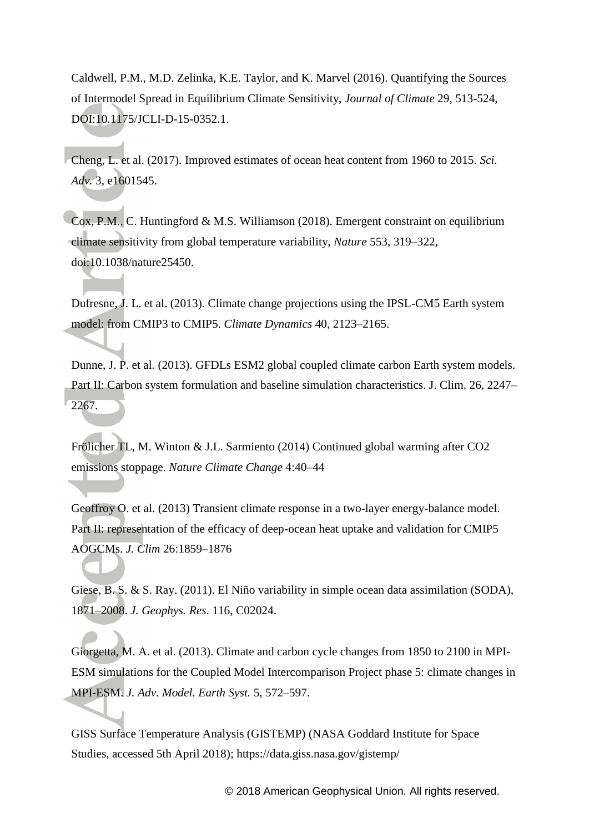Caldwell, P.M., M.D. Zelinka, K.E. Taylor, and K. Marvel (2016). Quantifying the Sources of Intermodel Spread in Equilibrium Climate Sensitivity, *Journal of Climate* 29, 513-524, DOI:10.1175/JCLI-D-15-0352.1.

Cheng, L. et al. (2017). Improved estimates of ocean heat content from 1960 to 2015. *Sci. Adv.* 3, e1601545.

Cox, P.M., C. Huntingford & M.S. Williamson (2018). Emergent constraint on equilibrium climate sensitivity from global temperature variability, *Nature* 553, 319–322, doi:10.1038/nature25450.

Dufresne, J. L. et al. (2013). Climate change projections using the IPSL-CM5 Earth system model: from CMIP3 to CMIP5. *Climate Dynamics* 40, 2123–2165.

Dunne, J. P. et al. (2013). GFDLs ESM2 global coupled climate carbon Earth system models. Part II: Carbon system formulation and baseline simulation characteristics. J. Clim. 26, 2247– 2267.

Frölicher TL, M. Winton & J.L. Sarmiento (2014) Continued global warming after CO2 emissions stoppage. *Nature Climate Change* 4:40–44

Geoffroy O. et al. (2013) Transient climate response in a two-layer energy-balance model. Part II: representation of the efficacy of deep-ocean heat uptake and validation for CMIP5 AOGCMs. *J. Clim* 26:1859–1876

Giese, B. S. & S. Ray. (2011). El Niño variability in simple ocean data assimilation (SODA), 1871–2008. *J. Geophys. Res*. 116, C02024.

Giorgetta, M. A. et al. (2013). Climate and carbon cycle changes from 1850 to 2100 in MPI-ESM simulations for the Coupled Model Intercomparison Project phase 5: climate changes in MPI-ESM. *J. Adv. Model. Earth Syst.* 5, 572–597.

GISS Surface Temperature Analysis (GISTEMP) (NASA Goddard Institute for Space Studies, accessed 5th April 2018); https://data.giss.nasa.gov/gistemp/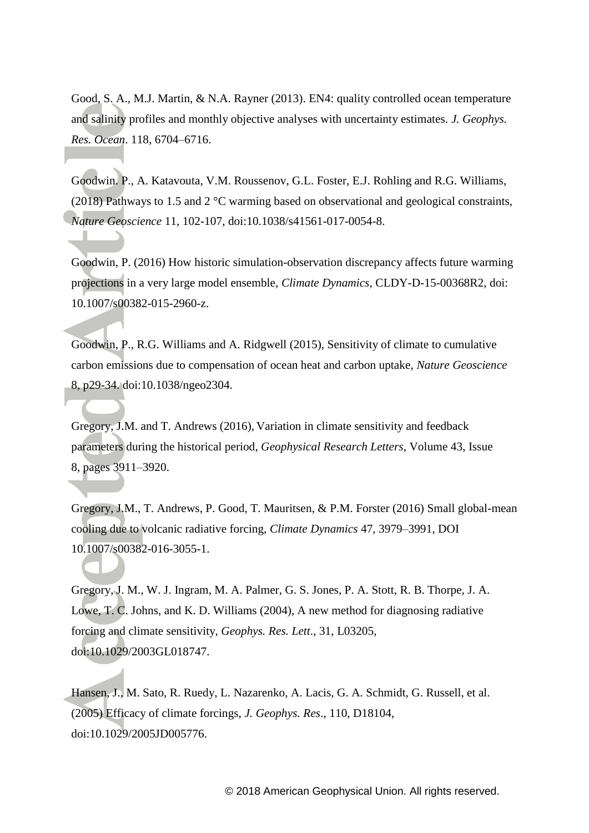Good, S. A., M.J. Martin, & N.A. Rayner (2013). EN4: quality controlled ocean temperature and salinity profiles and monthly objective analyses with uncertainty estimates. *J. Geophys. Res. Ocean*. 118, 6704–6716.

Goodwin. P., A. Katavouta, V.M. Roussenov, G.L. Foster, E.J. Rohling and R.G. Williams, (2018) Pathways to 1.5 and 2 °C warming based on observational and geological constraints, *Nature Geoscience* 11, 102-107, doi:10.1038/s41561-017-0054-8.

Goodwin, P. (2016) How historic simulation-observation discrepancy affects future warming projections in a very large model ensemble, *Climate Dynamics*, CLDY-D-15-00368R2, doi: 10.1007/s00382-015-2960-z.

Goodwin, P., R.G. Williams and A. Ridgwell (2015), Sensitivity of climate to cumulative carbon emissions due to compensation of ocean heat and carbon uptake, *Nature Geoscience* 8, p29-34. doi:10.1038/ngeo2304.

Gregory, J.M. and T. Andrews (2016), Variation in climate sensitivity and feedback parameters during the historical period, *Geophysical Research Letters*, Volume 43, Issue 8, pages 3911–3920.

Gregory, J.M., T. Andrews, P. Good, T. Mauritsen, & P.M. Forster (2016) Small global-mean cooling due to volcanic radiative forcing, *Climate Dynamics* 47, 3979–3991, DOI 10.1007/s00382-016-3055-1.

Gregory, J. M., W. J. Ingram, M. A. Palmer, G. S. Jones, P. A. Stott, R. B. Thorpe, J. A. Lowe, T. C. Johns, and K. D. Williams (2004), A new method for diagnosing radiative forcing and climate sensitivity, *Geophys. Res. Lett*., 31, L03205, doi:10.1029/2003GL018747.

Hansen, J., M. Sato, R. Ruedy, L. Nazarenko, A. Lacis, G. A. Schmidt, G. Russell, et al. (2005) Efficacy of climate forcings, *J. Geophys. Res*., 110, D18104, doi:10.1029/2005JD005776.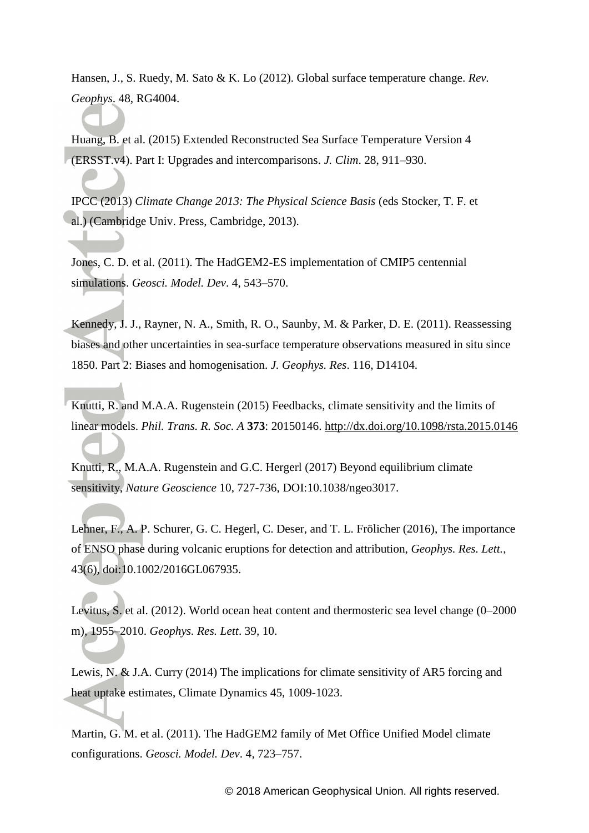Hansen, J., S. Ruedy, M. Sato & K. Lo (2012). Global surface temperature change. *Rev. Geophys*. 48, RG4004.

Huang, B. et al. (2015) Extended Reconstructed Sea Surface Temperature Version 4 (ERSST.v4). Part I: Upgrades and intercomparisons. *J. Clim*. 28, 911–930.

IPCC (2013) *Climate Change 2013: The Physical Science Basis* (eds Stocker, T. F. et al.) (Cambridge Univ. Press, Cambridge, 2013).

Jones, C. D. et al. (2011). The HadGEM2-ES implementation of CMIP5 centennial simulations. *Geosci. Model. Dev*. 4, 543–570.

Kennedy, J. J., Rayner, N. A., Smith, R. O., Saunby, M. & Parker, D. E. (2011). Reassessing biases and other uncertainties in sea-surface temperature observations measured in situ since 1850. Part 2: Biases and homogenisation. *J. Geophys. Res*. 116, D14104.

Knutti, R. and M.A.A. Rugenstein (2015) Feedbacks, climate sensitivity and the limits of linear models. *Phil. Trans. R. Soc. A* **373**: 20150146.<http://dx.doi.org/10.1098/rsta.2015.0146>

Knutti, R., M.A.A. Rugenstein and G.C. Hergerl (2017) Beyond equilibrium climate sensitivity, *Nature Geoscience* 10, 727-736, DOI:10.1038/ngeo3017.

Lehner, F., A. P. Schurer, G. C. Hegerl, C. Deser, and T. L. Frölicher (2016), The importance of ENSO phase during volcanic eruptions for detection and attribution, *Geophys. Res. Lett.*, 43(6), doi:10.1002/2016GL067935.

Levitus, S. et al. (2012). World ocean heat content and thermosteric sea level change (0–2000 m), 1955–2010. *Geophys. Res. Lett*. 39, 10.

Lewis, N. & J.A. Curry (2014) The implications for climate sensitivity of AR5 forcing and heat uptake estimates, Climate Dynamics 45, 1009-1023.

Martin, G.<sup>*M.*</sup> et al. (2011). The HadGEM2 family of Met Office Unified Model climate configurations. *Geosci. Model. Dev*. 4, 723–757.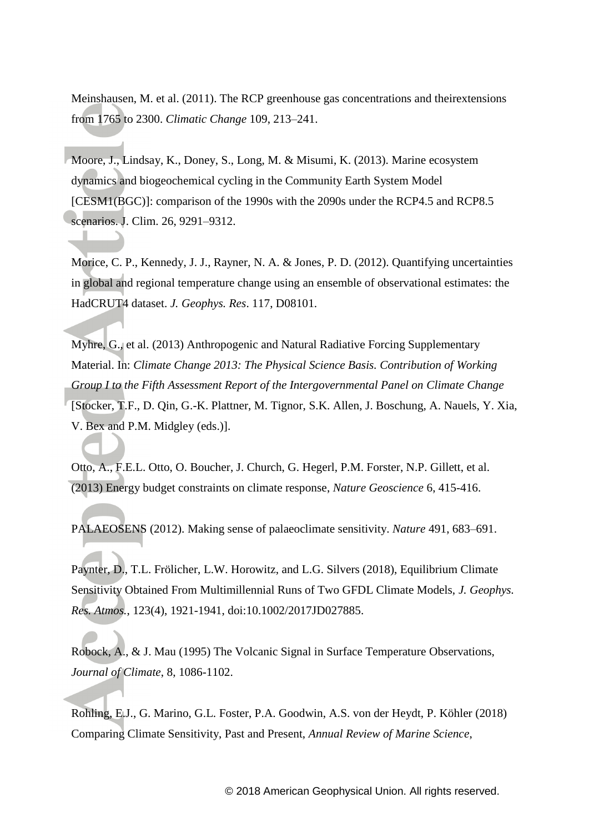Meinshausen, M. et al. (2011). The RCP greenhouse gas concentrations and theirextensions from 1765 to 2300. *Climatic Change* 109, 213–241.

Moore, J., Lindsay, K., Doney, S., Long, M. & Misumi, K. (2013). Marine ecosystem dynamics and biogeochemical cycling in the Community Earth System Model [CESM1(BGC)]: comparison of the 1990s with the 2090s under the RCP4.5 and RCP8.5 scenarios. J. Clim. 26, 9291–9312.

Morice, C. P., Kennedy, J. J., Rayner, N. A. & Jones, P. D. (2012). Quantifying uncertainties in global and regional temperature change using an ensemble of observational estimates: the HadCRUT4 dataset. *J. Geophys. Res*. 117, D08101.

Myhre, G., et al. (2013) Anthropogenic and Natural Radiative Forcing Supplementary Material. In: *Climate Change 2013: The Physical Science Basis. Contribution of Working Group I to the Fifth Assessment Report of the Intergovernmental Panel on Climate Change* [Stocker, T.F., D. Qin, G.-K. Plattner, M. Tignor, S.K. Allen, J. Boschung, A. Nauels, Y. Xia, V. Bex and P.M. Midgley (eds.)].

Otto, A., F.E.L. Otto, O. Boucher, J. Church, G. Hegerl, P.M. Forster, N.P. Gillett, et al. (2013) Energy budget constraints on climate response, *Nature Geoscience* 6, 415-416.

PALAEOSENS (2012). Making sense of palaeoclimate sensitivity. *Nature* 491, 683–691.

Paynter, D., T.L. Frölicher, L.W. Horowitz, and L.G. Silvers (2018), Equilibrium Climate Sensitivity Obtained From Multimillennial Runs of Two GFDL Climate Models, *J. Geophys. Res. Atmos.*, 123(4), 1921-1941, doi:10.1002/2017JD027885.

Robock, A., & J. Mau (1995) The Volcanic Signal in Surface Temperature Observations, *Journal of Climate*, 8, 1086-1102.

Rohling, E.J., G. Marino, G.L. Foster, P.A. Goodwin, A.S. von der Heydt, P. Köhler (2018) Comparing Climate Sensitivity, Past and Present, *Annual Review of Marine Science*,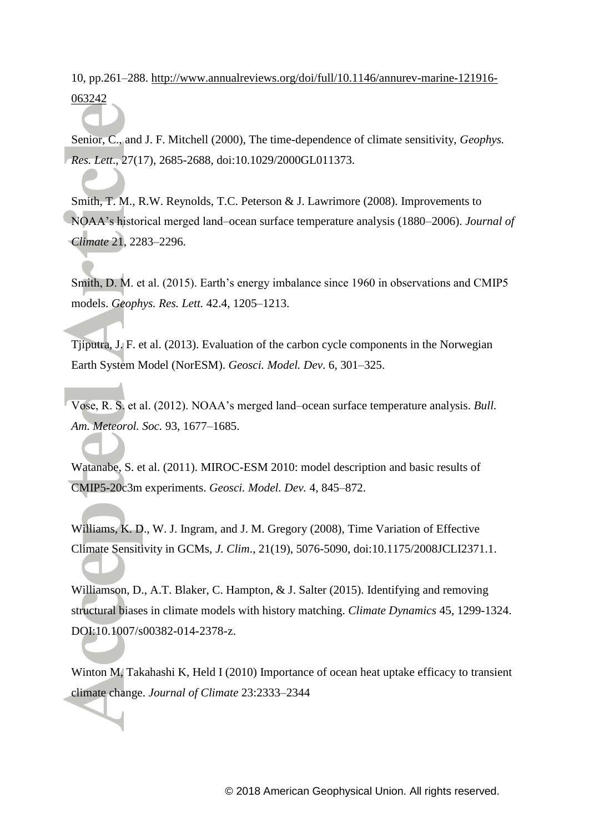10, pp.261–288. [http://www.annualreviews.org/doi/full/10.1146/annurev-marine-121916-](http://www.annualreviews.org/doi/full/10.1146/annurev-marine-121916-063242) [063242](http://www.annualreviews.org/doi/full/10.1146/annurev-marine-121916-063242)

Senior, C., and J. F. Mitchell (2000), The time-dependence of climate sensitivity, *Geophys. Res. Lett*., 27(17), 2685-2688, doi:10.1029/2000GL011373.

Smith, T. M., R.W. Reynolds, T.C. Peterson & J. Lawrimore (2008). Improvements to NOAA's historical merged land–ocean surface temperature analysis (1880–2006). *Journal of Climate* 21, 2283–2296.

Smith, D. M. et al. (2015). Earth's energy imbalance since 1960 in observations and CMIP5 models. *Geophys. Res. Lett.* 42.4, 1205–1213.

Tjiputra, J. F. et al. (2013). Evaluation of the carbon cycle components in the Norwegian Earth System Model (NorESM). *Geosci. Model. Dev*. 6, 301–325.

Vose, R. S. et al. (2012). NOAA's merged land–ocean surface temperature analysis. *Bull. Am. Meteorol. Soc.* 93, 1677–1685.

Watanabe, S. et al. (2011). MIROC-ESM 2010: model description and basic results of CMIP5-20c3m experiments. *Geosci. Model. Dev.* 4, 845–872.

Williams, K. D., W. J. Ingram, and J. M. Gregory (2008), Time Variation of Effective Climate Sensitivity in GCMs, *J. Clim*., 21(19), 5076-5090, doi:10.1175/2008JCLI2371.1.

Williamson, D., A.T. Blaker, C. Hampton, & J. Salter (2015). Identifying and removing structural biases in climate models with history matching. *Climate Dynamics* 45, 1299-1324. DOI:10.1007/s00382-014-2378-z.

Winton M, Takahashi K, Held I (2010) Importance of ocean heat uptake efficacy to transient climate change. *Journal of Climate* 23:2333–2344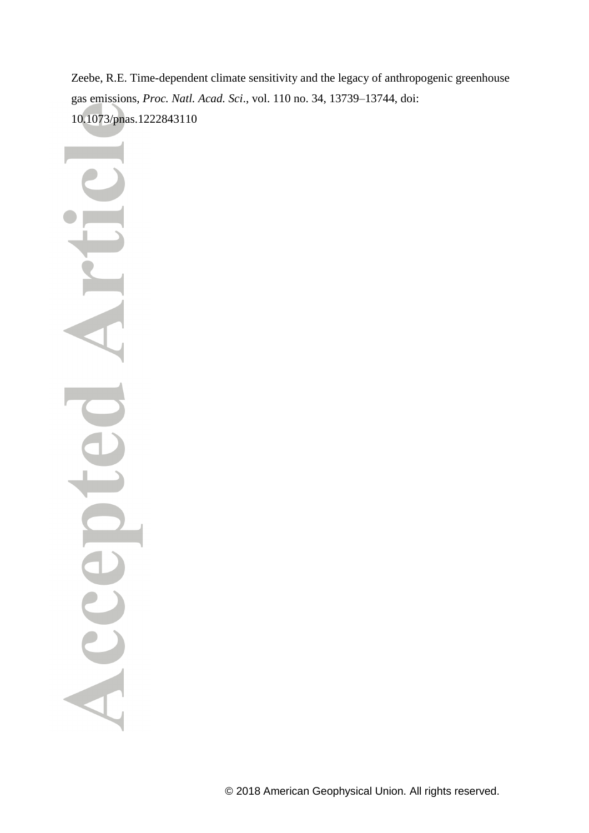Zeebe, R.E. Time-dependent climate sensitivity and the legacy of anthropogenic greenhouse gas emissions, *Proc. Natl. Acad. Sci*., vol. 110 no. 34, 13739–13744, doi: 10.1073/pnas.1222843110

Acce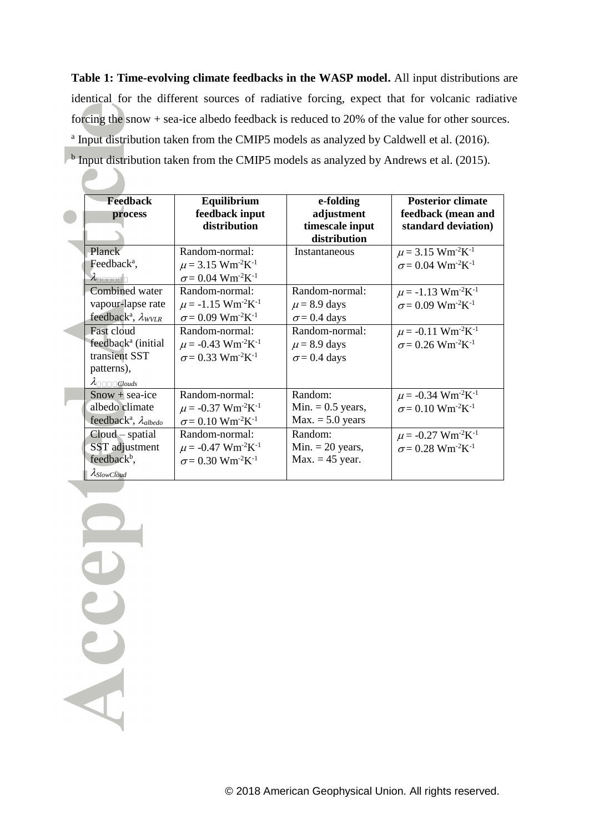**Table 1: Time-evolving climate feedbacks in the WASP model.** All input distributions are identical for the different sources of radiative forcing, expect that for volcanic radiative forcing the snow + sea-ice albedo feedback is reduced to 20% of the value for other sources. <sup>a</sup> Input distribution taken from the CMIP5 models as analyzed by Caldwell et al. (2016).

<sup>b</sup> Input distribution taken from the CMIP5 models as analyzed by Andrews et al. (2015).

| <b>Feedback</b>                                     | <b>Posterior climate</b>                         |                            |                                                  |
|-----------------------------------------------------|--------------------------------------------------|----------------------------|--------------------------------------------------|
| process                                             | Equilibrium<br>feedback input                    | e-folding<br>adjustment    | feedback (mean and                               |
|                                                     | distribution                                     | timescale input            | standard deviation)                              |
|                                                     |                                                  | distribution               |                                                  |
| Planck                                              | Random-normal:                                   | Instantaneous              | $\mu$ = 3.15 Wm <sup>-2</sup> K <sup>-1</sup>    |
| Feedback <sup>a</sup> ,                             | $\mu$ = 3.15 Wm <sup>-2</sup> K <sup>-1</sup>    |                            | $\sigma$ = 0.04 Wm <sup>-2</sup> K <sup>-1</sup> |
| $\lambda$ nnnnnn                                    | $\sigma$ = 0.04 Wm <sup>-2</sup> K <sup>-1</sup> |                            |                                                  |
| Combined water                                      | Random-normal:                                   | Random-normal:             | $\mu$ = -1.13 Wm <sup>-2</sup> K <sup>-1</sup>   |
| vapour-lapse rate                                   | $\mu$ = -1.15 Wm <sup>-2</sup> K <sup>-1</sup>   | $\mu$ = 8.9 days           | $\sigma$ = 0.09 Wm <sup>-2</sup> K <sup>-1</sup> |
| feedback <sup>a</sup> , $\lambda_{WVLR}$            | $\sigma$ = 0.09 Wm <sup>-2</sup> K <sup>-1</sup> | $\sigma$ = 0.4 days        |                                                  |
| Fast cloud                                          | Random-normal:                                   | $Random-normal$            | $\mu$ = -0.11 Wm <sup>-2</sup> K <sup>-1</sup>   |
| feedback <sup>a</sup> (initial                      | $\mu$ = -0.43 Wm <sup>-2</sup> K <sup>-1</sup>   | $\mu$ = 8.9 days           | $\sigma$ = 0.26 Wm <sup>-2</sup> K <sup>-1</sup> |
| transient SST                                       | $\sigma$ = 0.33 Wm <sup>-2</sup> K <sup>-1</sup> | $\sigma$ = 0.4 days        |                                                  |
| patterns),                                          |                                                  |                            |                                                  |
|                                                     |                                                  |                            |                                                  |
| $Show + sea-ice$                                    | Random-normal:                                   | Random:                    | $\mu$ = -0.34 Wm <sup>-2</sup> K <sup>-1</sup>   |
| albedo climate                                      | $\mu$ = -0.37 Wm <sup>-2</sup> K <sup>-1</sup>   | Min. $= 0.5$ years,        | $\sigma$ = 0.10 Wm <sup>-2</sup> K <sup>-1</sup> |
| feedback <sup>a</sup> , $\lambda$ <sub>albedo</sub> | $\sigma$ = 0.10 Wm <sup>-2</sup> K <sup>-1</sup> | $Max. = 5.0 \text{ years}$ |                                                  |
| $Cloud - spatial$                                   | Random-normal:                                   | Random:                    | $\mu$ = -0.27 Wm <sup>-2</sup> K <sup>-1</sup>   |
| SST adjustment                                      | $\mu$ = -0.47 Wm <sup>-2</sup> K <sup>-1</sup>   | Min. $= 20$ years,         | $\sigma$ = 0.28 Wm <sup>-2</sup> K <sup>-1</sup> |
| feedback <sup>b</sup> ,                             | $\sigma$ = 0.30 Wm <sup>-2</sup> K <sup>-1</sup> | $Max. = 45$ year.          |                                                  |
| $\lambda$ SlowCloud                                 |                                                  |                            |                                                  |

Accep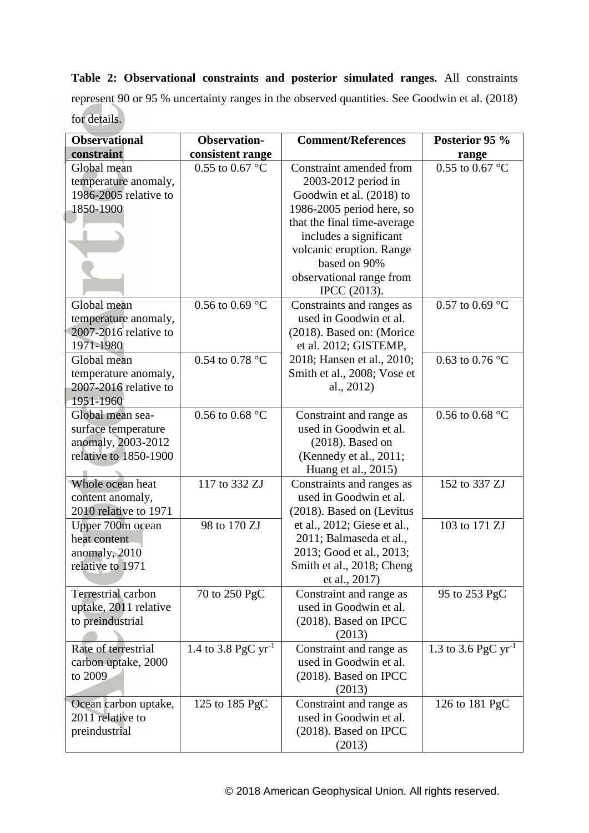**Table 2: Observational constraints and posterior simulated ranges.** All constraints represent 90 or 95 % uncertainty ranges in the observed quantities. See Goodwin et al. (2018) for details.

| <b>Observational</b>                                                                   | <b>Observation-</b>       | <b>Comment/References</b>                                                                                                              | Posterior 95 %                |
|----------------------------------------------------------------------------------------|---------------------------|----------------------------------------------------------------------------------------------------------------------------------------|-------------------------------|
| constraint                                                                             | consistent range          |                                                                                                                                        | range                         |
| Global mean<br>temperature anomaly,<br>1986-2005 relative to<br>1850-1900              | 0.55 to 0.67 $^{\circ}$ C | Constraint amended from<br>2003-2012 period in<br>Goodwin et al. (2018) to<br>1986-2005 period here, so<br>that the final time-average | 0.55 to 0.67 °C               |
|                                                                                        |                           | includes a significant<br>volcanic eruption. Range<br>based on 90%<br>observational range from<br>IPCC (2013).                         |                               |
| Global mean<br>temperature anomaly,<br>2007-2016 relative to<br>1971-1980              | 0.56 to 0.69 $^{\circ}$ C | Constraints and ranges as<br>used in Goodwin et al.<br>(2018). Based on: (Morice<br>et al. 2012; GISTEMP,                              | 0.57 to 0.69 $^{\circ}$ C     |
| Global mean<br>temperature anomaly,<br>2007-2016 relative to<br>1951-1960              | $0.54$ to $0.78$ °C       | 2018; Hansen et al., 2010;<br>Smith et al., 2008; Vose et<br>al., 2012)                                                                | 0.63 to 0.76 $^{\circ}$ C     |
| Global mean sea-<br>surface temperature<br>anomaly, 2003-2012<br>relative to 1850-1900 | 0.56 to 0.68 $^{\circ}$ C | Constraint and range as<br>used in Goodwin et al.<br>$(2018)$ . Based on<br>(Kennedy et al., 2011;<br>Huang et al., 2015)              | 0.56 to 0.68 $^{\circ}$ C     |
| Whole ocean heat<br>content anomaly,<br>2010 relative to 1971                          | 117 to 332 ZJ             | Constraints and ranges as<br>used in Goodwin et al.<br>(2018). Based on (Levitus                                                       | 152 to 337 ZJ                 |
| Upper 700m ocean<br>heat content<br>anomaly, 2010<br>relative to 1971                  | 98 to 170 ZJ              | et al., 2012; Giese et al.,<br>2011; Balmaseda et al.,<br>2013; Good et al., 2013;<br>Smith et al., 2018; Cheng<br>et al., 2017)       | 103 to 171 ZJ                 |
| Terrestrial carbon<br>uptake, 2011 relative<br>to preindustrial                        | 70 to 250 PgC             | Constraint and range as<br>used in Goodwin et al.<br>$(2018)$ . Based on IPCC<br>(2013)                                                | 95 to 253 PgC                 |
| Rate of terrestrial<br>carbon uptake, 2000<br>to 2009                                  | 1.4 to 3.8 PgC $yr^{-1}$  | Constraint and range as<br>used in Goodwin et al.<br>(2018). Based on IPCC<br>(2013)                                                   | 1.3 to 3.6 PgC $\rm{yr}^{-1}$ |
| Ocean carbon uptake,<br>2011 relative to<br>preindustrial                              | 125 to 185 PgC            | Constraint and range as<br>used in Goodwin et al.<br>(2018). Based on IPCC<br>(2013)                                                   | 126 to 181 PgC                |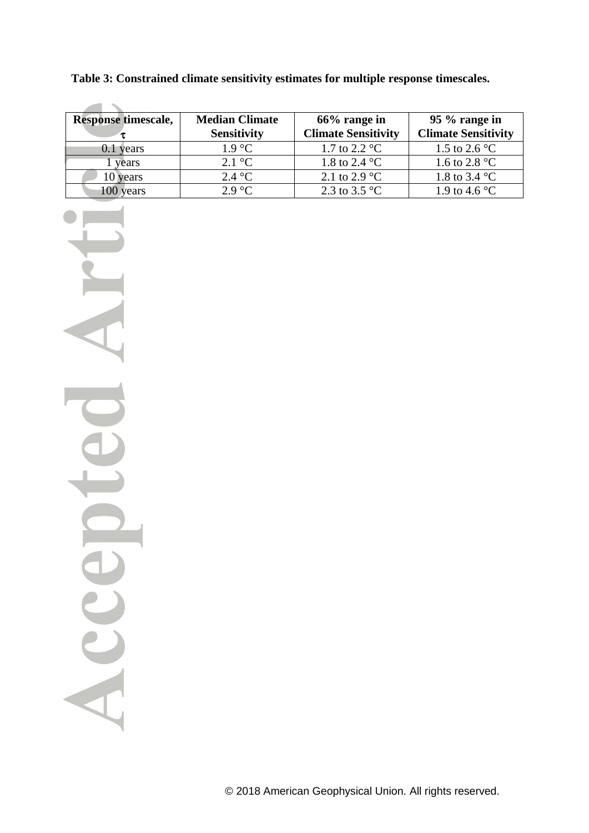| <b>Response timescale,</b> | <b>Median Climate</b><br><b>Sensitivity</b> | $66\%$ range in<br><b>Climate Sensitivity</b> | 95 % range in<br><b>Climate Sensitivity</b> |
|----------------------------|---------------------------------------------|-----------------------------------------------|---------------------------------------------|
| $0.1$ years                | $1.9 \text{ °C}$                            | 1.7 to 2.2 $^{\circ}$ C                       | 1.5 to 2.6 $^{\circ}$ C                     |
| vears                      | $2.1 \text{ }^{\circ}C$                     | 1.8 to 2.4 $^{\circ}$ C                       | 1.6 to 2.8 $^{\circ}$ C                     |
| 10 years                   | $2.4 \degree C$                             | 2.1 to 2.9 $^{\circ}$ C                       | 1.8 to 3.4 $^{\circ}$ C                     |
| years                      | $2.9 \text{ °C}$                            | 2.3 to 3.5 $^{\circ}$ C                       | 1.9 to 4.6 $^{\circ}$ C                     |

**Table 3: Constrained climate sensitivity estimates for multiple response timescales.**

Acc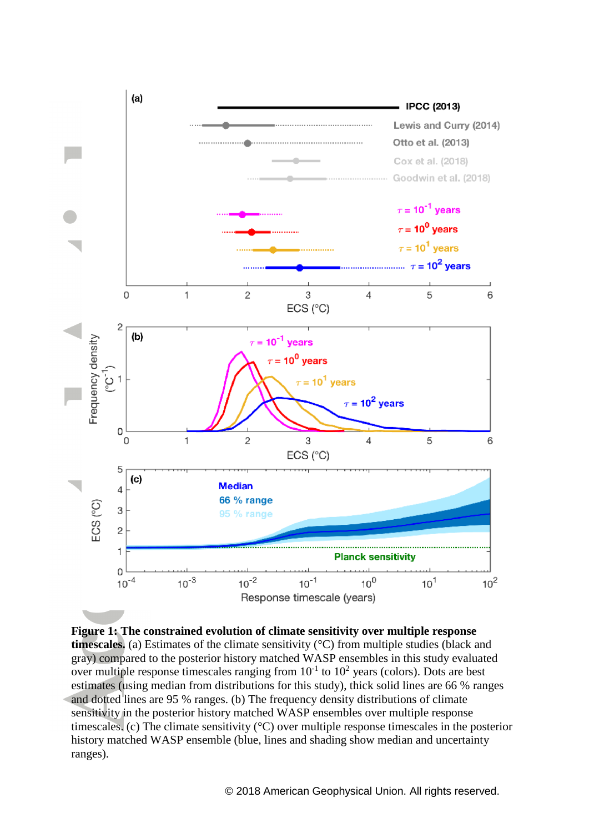

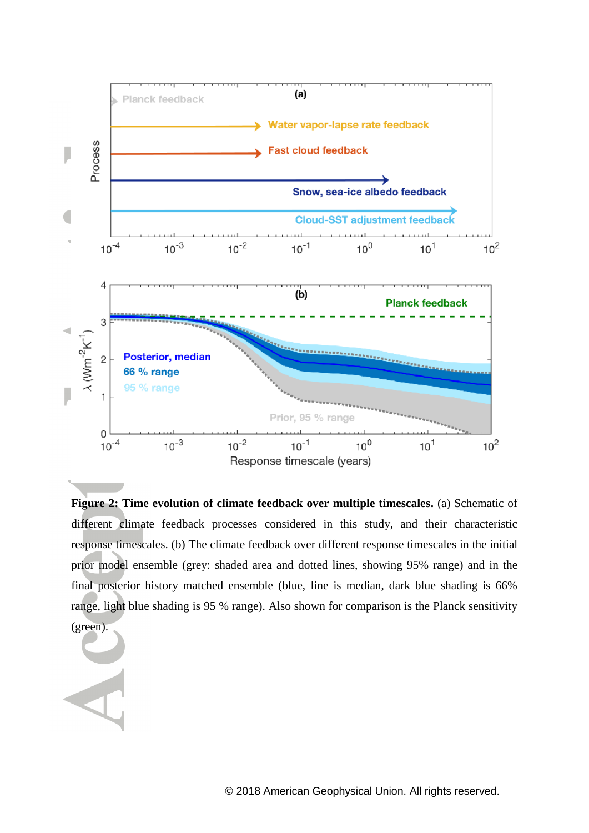

**Figure 2: Time evolution of climate feedback over multiple timescales.** (a) Schematic of different climate feedback processes considered in this study, and their characteristic response timescales. (b) The climate feedback over different response timescales in the initial prior model ensemble (grey: shaded area and dotted lines, showing 95% range) and in the final posterior history matched ensemble (blue, line is median, dark blue shading is 66% range, light blue shading is 95 % range). Also shown for comparison is the Planck sensitivity (green).

© 2018 American Geophysical Union. All rights reserved.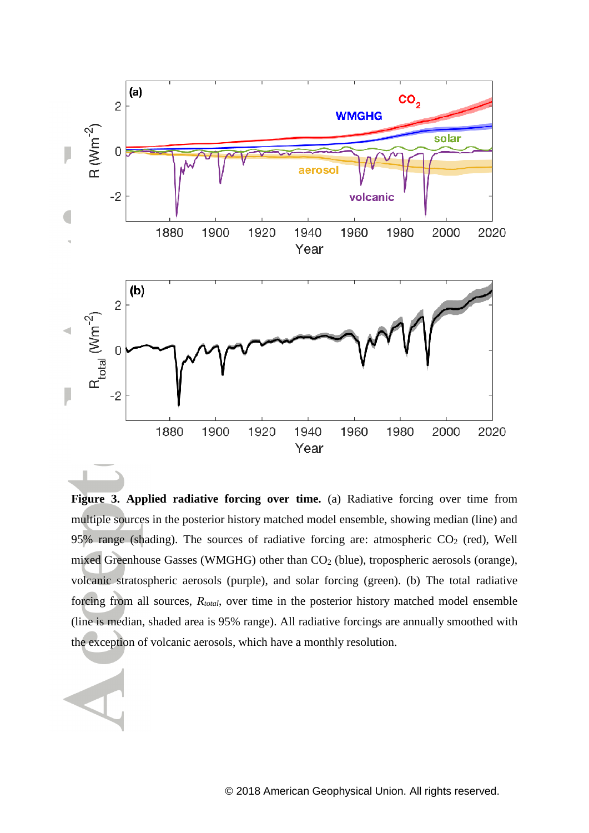

**Figure 3. Applied radiative forcing over time.** (a) Radiative forcing over time from multiple sources in the posterior history matched model ensemble, showing median (line) and 95% range (shading). The sources of radiative forcing are: atmospheric  $CO<sub>2</sub>$  (red), Well mixed Greenhouse Gasses (WMGHG) other than  $CO<sub>2</sub>$  (blue), tropospheric aerosols (orange), volcanic stratospheric aerosols (purple), and solar forcing (green). (b) The total radiative forcing from all sources, *Rtotal*, over time in the posterior history matched model ensemble (line is median, shaded area is 95% range). All radiative forcings are annually smoothed with the exception of volcanic aerosols, which have a monthly resolution.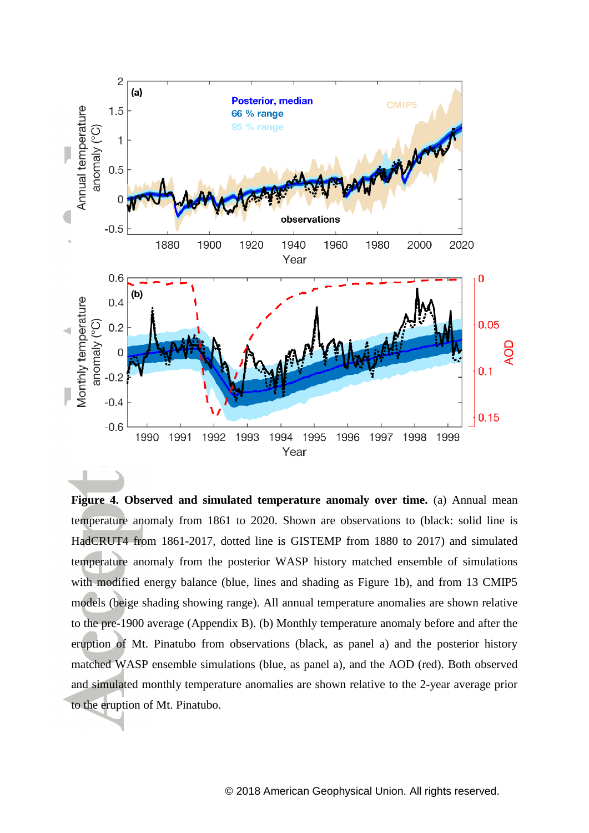

**Figure 4. Observed and simulated temperature anomaly over time.** (a) Annual mean temperature anomaly from 1861 to 2020. Shown are observations to (black: solid line is HadCRUT4 from 1861-2017, dotted line is GISTEMP from 1880 to 2017) and simulated temperature anomaly from the posterior WASP history matched ensemble of simulations with modified energy balance (blue, lines and shading as Figure 1b), and from 13 CMIP5 models (beige shading showing range). All annual temperature anomalies are shown relative to the pre-1900 average (Appendix B). (b) Monthly temperature anomaly before and after the eruption of Mt. Pinatubo from observations (black, as panel a) and the posterior history matched WASP ensemble simulations (blue, as panel a), and the AOD (red). Both observed and simulated monthly temperature anomalies are shown relative to the 2-year average prior to the eruption of Mt. Pinatubo.